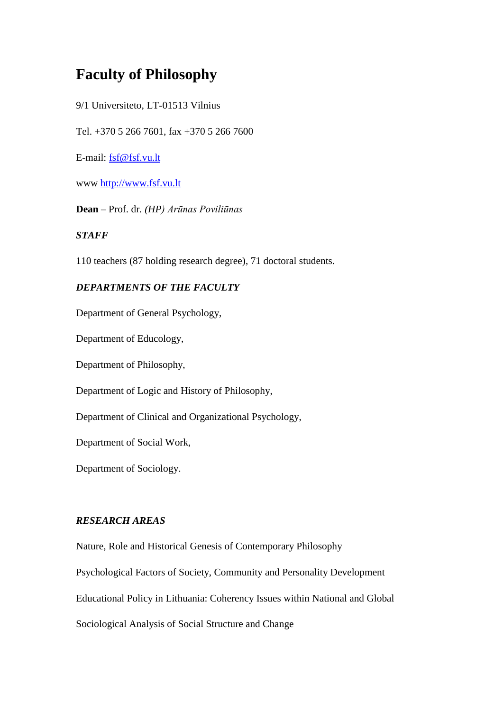# **Faculty of Philosophy**

9/1 Universiteto, LT-01513 Vilnius

Tel. +370 5 266 7601, fax +370 5 266 7600

E-mail: [fsf@fsf.vu.lt](mailto:fsf@fsf.vu.lt)

www [http://www.fsf.vu.lt](http://www.ff.vu.lt/)

**Dean** – Prof. dr*. (HP) Arūnas Poviliūnas*

## *STAFF*

110 teachers (87 holding research degree), 71 doctoral students.

# *DEPARTMENTS OF THE FACULTY*

Department of General Psychology,

Department of Educology,

Department of Philosophy,

Department of Logic and History of Philosophy,

Department of Clinical and Organizational Psychology,

Department of Social Work,

Department of Sociology.

## *RESEARCH AREAS*

Nature, Role and Historical Genesis of Contemporary Philosophy Psychological Factors of Society, Community and Personality Development Educational Policy in Lithuania: Coherency Issues within National and Global Sociological Analysis of Social Structure and Change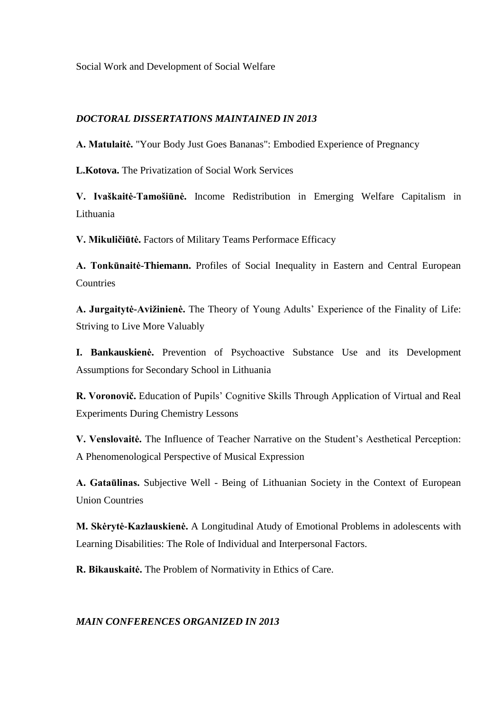Social Work and Development of Social Welfare

## *DOCTORAL DISSERTATIONS MAINTAINED IN 2013*

**A. Matulaitė.** "Your Body Just Goes Bananas": Embodied Experience of Pregnancy

**L.Kotova.** The Privatization of Social Work Services

**V. Ivaškaitė-Tamošiūnė.** Income Redistribution in Emerging Welfare Capitalism in Lithuania

**V. Mikuličiūtė.** Factors of Military Teams Performace Efficacy

**A. Tonkūnaitė-Thiemann.** Profiles of Social Inequality in Eastern and Central European **Countries** 

**A. Jurgaitytė-Avižinienė.** The Theory of Young Adults' Experience of the Finality of Life: Striving to Live More Valuably

**I. Bankauskienė.** Prevention of Psychoactive Substance Use and its Development Assumptions for Secondary School in Lithuania

**R. Voronovič.** Education of Pupils' Cognitive Skills Through Application of Virtual and Real Experiments During Chemistry Lessons

**V. Venslovaitė.** The Influence of Teacher Narrative on the Student's Aesthetical Perception: A Phenomenological Perspective of Musical Expression

**A. Gataūlinas.** Subjective Well - Being of Lithuanian Society in the Context of European Union Countries

**M. Skėrytė-Kazlauskienė.** A Longitudinal Atudy of Emotional Problems in adolescents with Learning Disabilities: The Role of Individual and Interpersonal Factors.

**R. Bikauskaitė.** The Problem of Normativity in Ethics of Care.

# *MAIN CONFERENCES ORGANIZED IN 2013*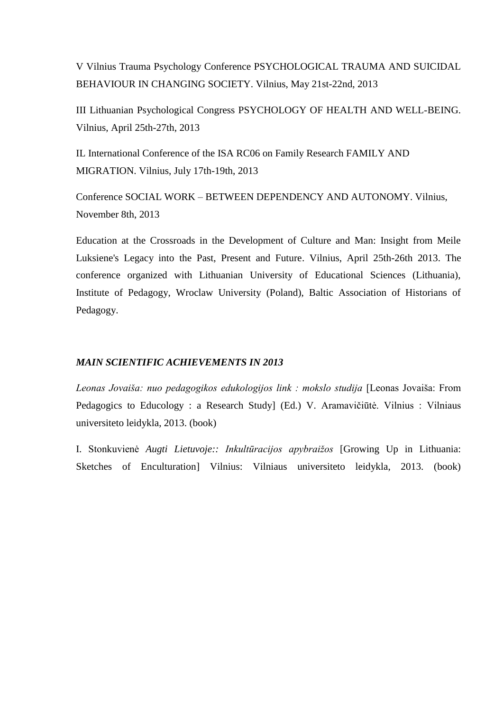V Vilnius Trauma Psychology Conference PSYCHOLOGICAL TRAUMA AND SUICIDAL BEHAVIOUR IN CHANGING SOCIETY. Vilnius, May 21st-22nd, 2013

III Lithuanian Psychological Congress PSYCHOLOGY OF HEALTH AND WELL-BEING. Vilnius, April 25th-27th, 2013

IL International Conference of the ISA RC06 on Family Research FAMILY AND MIGRATION. Vilnius, July 17th-19th, 2013

Conference SOCIAL WORK – BETWEEN DEPENDENCY AND AUTONOMY. Vilnius, November 8th, 2013

Education at the Crossroads in the Development of Culture and Man: Insight from Meile Luksiene's Legacy into the Past, Present and Future. Vilnius, April 25th-26th 2013. The conference organized with Lithuanian University of Educational Sciences (Lithuania), Institute of Pedagogy, Wroclaw University (Poland), Baltic Association of Historians of Pedagogy.

### *MAIN SCIENTIFIC ACHIEVEMENTS IN 2013*

*Leonas Jovaiša: nuo pedagogikos edukologijos link : mokslo studija* [Leonas Jovaiša: From Pedagogics to Educology : a Research Study] (Ed.) V. Aramavičiūtė. Vilnius : Vilniaus universiteto leidykla, 2013. (book)

I. Stonkuvienė *Augti Lietuvoje:: Inkultūracijos apybraižos* [Growing Up in Lithuania: Sketches of Enculturation] Vilnius: Vilniaus universiteto leidykla, 2013. (book)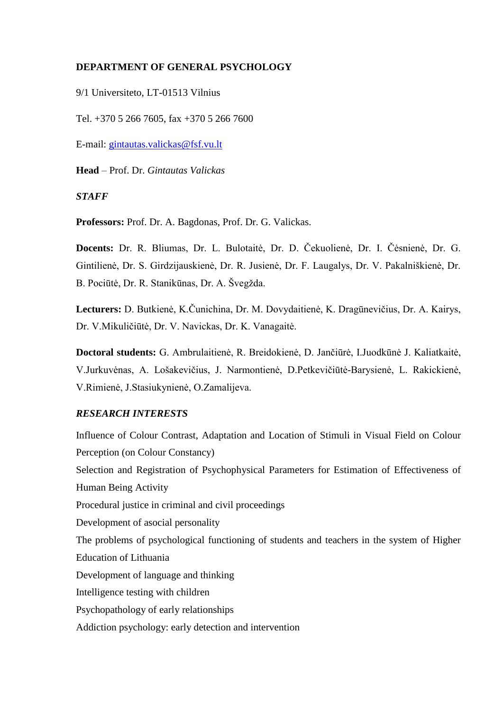### **DEPARTMENT OF GENERAL PSYCHOLOGY**

9/1 Universiteto, LT-01513 Vilnius

Tel. +370 5 266 7605, fax +370 5 266 7600

E-mail: [gintautas.valickas@fsf.vu.lt](mailto:gintautas.valickas@fsf.vu.lt)

**Head** – Prof. Dr. *Gintautas Valickas*

*STAFF*

**Professors:** Prof. Dr. A. Bagdonas, Prof. Dr. G. Valickas.

**Docents:** Dr. R. Bliumas, Dr. L. Bulotaitė, Dr. D. Čekuolienė, Dr. I. Čėsnienė, Dr. G. Gintilienė, Dr. S. Girdzijauskienė, Dr. R. Jusienė, Dr. F. Laugalys, Dr. V. Pakalniškienė, Dr. B. Pociūtė, Dr. R. Stanikūnas, Dr. A. Švegžda.

**Lecturers:** D. Butkienė, K.Čunichina, Dr. M. Dovydaitienė, K. Dragūnevičius, Dr. A. Kairys, Dr. V.Mikuličiūtė, Dr. V. Navickas, Dr. K. Vanagaitė.

**Doctoral students:** G. Ambrulaitienė, R. Breidokienė, D. Jančiūrė, I.Juodkūnė J. Kaliatkaitė, V.Jurkuvėnas, A. Lošakevičius, J. Narmontienė, D.Petkevičiūtė-Barysienė, L. Rakickienė, V.Rimienė, J.Stasiukynienė, O.Zamalijeva.

### *RESEARCH INTERESTS*

Influence of Colour Contrast, Adaptation and Location of Stimuli in Visual Field on Colour Perception (on Colour Constancy) Selection and Registration of Psychophysical Parameters for Estimation of Effectiveness of Human Being Activity Procedural justice in criminal and civil proceedings Development of asocial personality The problems of psychological functioning of students and teachers in the system of Higher Education of Lithuania Development of language and thinking Intelligence testing with children Psychopathology of early relationships Addiction psychology: early detection and intervention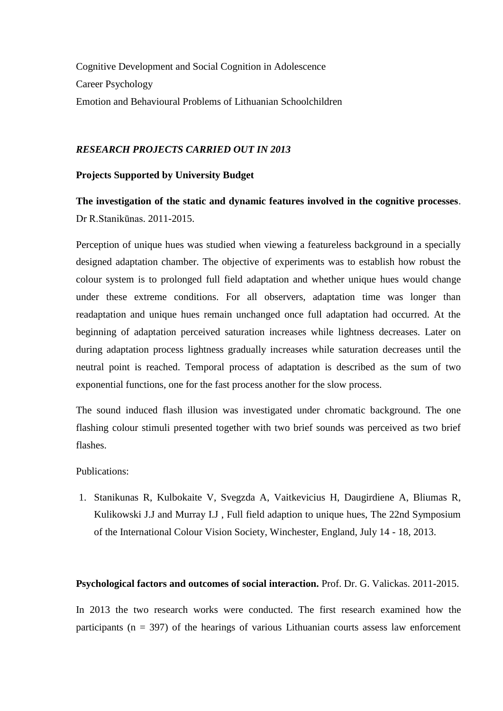Cognitive Development and Social Cognition in Adolescence Career Psychology Emotion and Behavioural Problems of Lithuanian Schoolchildren

#### *RESEARCH PROJECTS CARRIED OUT IN 2013*

#### **Projects Supported by University Budget**

**The investigation of the static and dynamic features involved in the cognitive processes**. Dr R.Stanikūnas. 2011-2015.

Perception of unique hues was studied when viewing a featureless background in a specially designed adaptation chamber. The objective of experiments was to establish how robust the colour system is to prolonged full field adaptation and whether unique hues would change under these extreme conditions. For all observers, adaptation time was longer than readaptation and unique hues remain unchanged once full adaptation had occurred. At the beginning of adaptation perceived saturation increases while lightness decreases. Later on during adaptation process lightness gradually increases while saturation decreases until the neutral point is reached. Temporal process of adaptation is described as the sum of two exponential functions, one for the fast process another for the slow process.

The sound induced flash illusion was investigated under chromatic background. The one flashing colour stimuli presented together with two brief sounds was perceived as two brief flashes.

Publications:

1. Stanikunas R, Kulbokaite V, Svegzda A, Vaitkevicius H, Daugirdiene A, Bliumas R, Kulikowski J.J and Murray I.J , Full field adaption to unique hues, The 22nd Symposium of the International Colour Vision Society, Winchester, England, July 14 - 18, 2013.

#### **Psychological factors and outcomes of social interaction.** Prof. Dr. G. Valickas. 2011-2015.

In 2013 the two research works were conducted. The first research examined how the participants ( $n = 397$ ) of the hearings of various Lithuanian courts assess law enforcement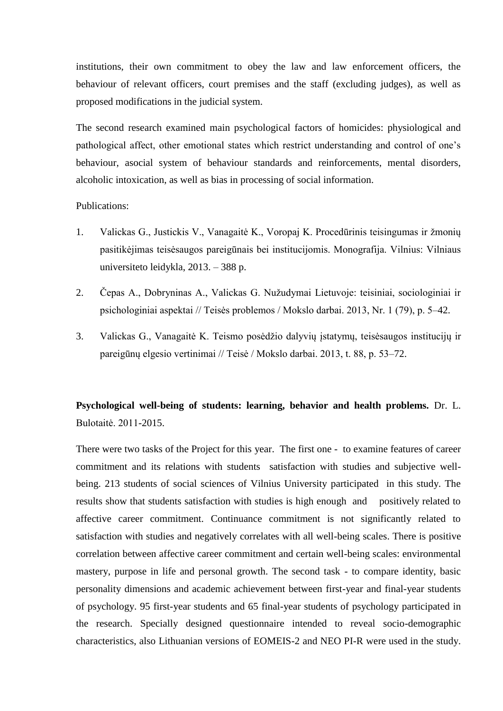institutions, their own commitment to obey the law and law enforcement officers, the behaviour of relevant officers, court premises and the staff (excluding judges), as well as proposed modifications in the judicial system.

The second research examined main psychological factors of homicides: physiological and pathological affect, other emotional states which restrict understanding and control of one's behaviour, asocial system of behaviour standards and reinforcements, mental disorders, alcoholic intoxication, as well as bias in processing of social information.

#### Publications:

- 1. Valickas G., Justickis V., Vanagaitė K., Voropaj K. Procedūrinis teisingumas ir žmonių pasitikėjimas teisėsaugos pareigūnais bei institucijomis. Monografija. Vilnius: Vilniaus universiteto leidykla, 2013. – 388 p.
- 2. Čepas A., Dobryninas A., Valickas G. Nužudymai Lietuvoje: teisiniai, sociologiniai ir psichologiniai aspektai // Teisės problemos / Mokslo darbai. 2013, Nr. 1 (79), p. 5–42.
- 3. Valickas G., Vanagaitė K. Teismo posėdžio dalyvių įstatymų, teisėsaugos institucijų ir pareigūnų elgesio vertinimai // Teisė / Mokslo darbai. 2013, t. 88, p. 53–72.

# **Psychological well-being of students: learning, behavior and health problems.** Dr. L. Bulotaitė. 2011-2015.

There were two tasks of the Project for this year. The first one - to examine features of career commitment and its relations with students satisfaction with studies and subjective wellbeing. 213 students of social sciences of Vilnius University participated in this study. The results show that students satisfaction with studies is high enough and positively related to affective career commitment. Continuance commitment is not significantly related to satisfaction with studies and negatively correlates with all well-being scales. There is positive correlation between affective career commitment and certain well-being scales: environmental mastery, purpose in life and personal growth. The second task - to compare identity, basic personality dimensions and academic achievement between first-year and final-year students of psychology. 95 first-year students and 65 final-year students of psychology participated in the research. Specially designed questionnaire intended to reveal socio-demographic characteristics, also Lithuanian versions of EOMEIS-2 and NEO PI-R were used in the study.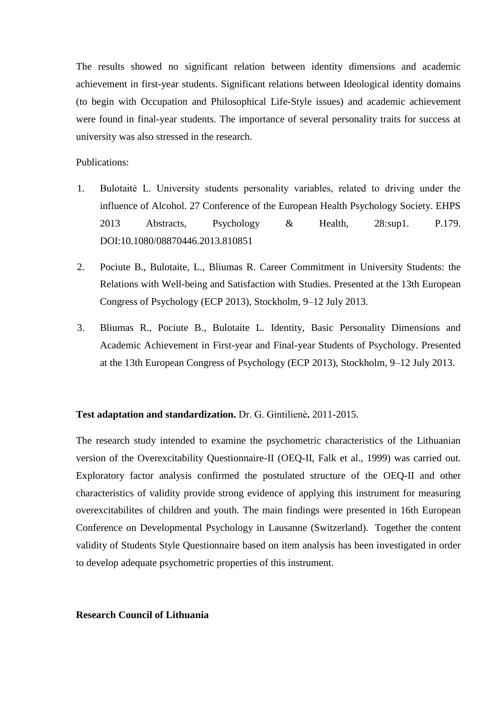The results showed no significant relation between identity dimensions and academic achievement in first-year students. Significant relations between Ideological identity domains (to begin with Occupation and Philosophical Life-Style issues) and academic achievement were found in final-year students. The importance of several personality traits for success at university was also stressed in the research.

### Publications:

- 1. Bulotaitė L. University students personality variables, related to driving under the influence of Alcohol. 27 Conference of the European Health Psychology Society. EHPS 2013 Abstracts, Psychology & Health, 28:sup1. P.179. DOI:10.1080/08870446.2013.810851
- 2. Pociute B., Bulotaite, L., Bliumas R. Career Commitment in University Students: the Relations with Well-being and Satisfaction with Studies. Presented at the 13th European Congress of Psychology (ECP 2013), Stockholm, 9–12 July 2013.
- 3. Bliumas R., Pociute B., Bulotaite L. Identity, Basic Personality Dimensions and Academic Achievement in First-year and Final-year Students of Psychology. Presented at the 13th European Congress of Psychology (ECP 2013), Stockholm, 9–12 July 2013.

#### **Test adaptation and standardization.** Dr. G. Gintilienė**.** 2011-2015.

The research study intended to examine the psychometric characteristics of the Lithuanian version of the Overexcitability Questionnaire-II (OEQ-II, Falk et al., 1999) was carried out. Exploratory factor analysis confirmed the postulated structure of the OEQ-II and other characteristics of validity provide strong evidence of applying this instrument for measuring overexcitabilites of children and youth. The main findings were presented in 16th European Conference on Developmental Psychology in Lausanne (Switzerland). Together the content validity of Students Style Questionnaire based on item analysis has been investigated in order to develop adequate psychometric properties of this instrument.

#### **Research Council of Lithuania**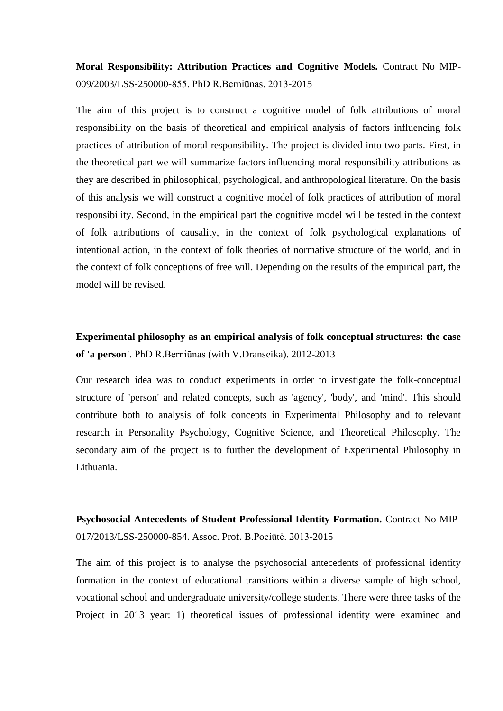**Moral Responsibility: Attribution Practices and Cognitive Models.** Contract No MIP-009/2003/LSS-250000-855. PhD R.Berniūnas. 2013-2015

The aim of this project is to construct a cognitive model of folk attributions of moral responsibility on the basis of theoretical and empirical analysis of factors influencing folk practices of attribution of moral responsibility. The project is divided into two parts. First, in the theoretical part we will summarize factors influencing moral responsibility attributions as they are described in philosophical, psychological, and anthropological literature. On the basis of this analysis we will construct a cognitive model of folk practices of attribution of moral responsibility. Second, in the empirical part the cognitive model will be tested in the context of folk attributions of causality, in the context of folk psychological explanations of intentional action, in the context of folk theories of normative structure of the world, and in the context of folk conceptions of free will. Depending on the results of the empirical part, the model will be revised.

**Experimental philosophy as an empirical analysis of folk conceptual structures: the case of 'a person'**. PhD R.Berniūnas (with V.Dranseika). 2012-2013

Our research idea was to conduct experiments in order to investigate the folk-conceptual structure of 'person' and related concepts, such as 'agency', 'body', and 'mind'. This should contribute both to analysis of folk concepts in Experimental Philosophy and to relevant research in Personality Psychology, Cognitive Science, and Theoretical Philosophy. The secondary aim of the project is to further the development of Experimental Philosophy in Lithuania.

**Psychosocial Antecedents of Student Professional Identity Formation.** Contract No MIP-017/2013/LSS-250000-854. Assoc. Prof. B.Pociūtė. 2013-2015

The aim of this project is to analyse the psychosocial antecedents of professional identity formation in the context of educational transitions within a diverse sample of high school, vocational school and undergraduate university/college students. There were three tasks of the Project in 2013 year: 1) theoretical issues of professional identity were examined and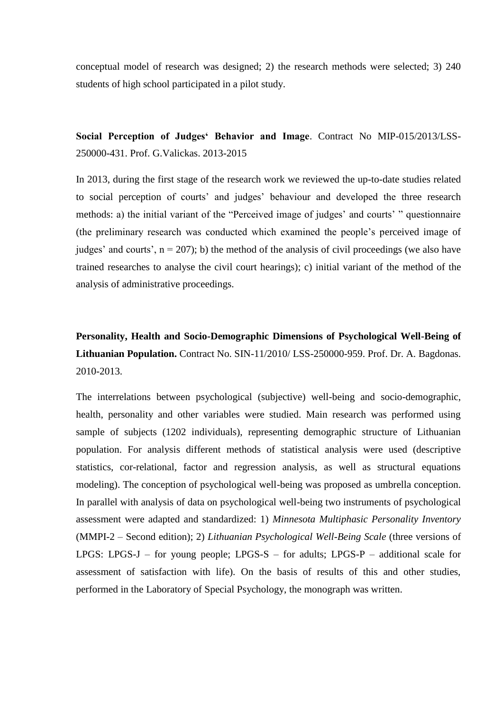conceptual model of research was designed; 2) the research methods were selected; 3) 240 students of high school participated in a pilot study.

**Social Perception of Judges' Behavior and Image**. Contract No MIP-015/2013/LSS-250000-431. Prof. G.Valickas. 2013-2015

In 2013, during the first stage of the research work we reviewed the up-to-date studies related to social perception of courts' and judges' behaviour and developed the three research methods: a) the initial variant of the "Perceived image of judges' and courts' " questionnaire (the preliminary research was conducted which examined the people's perceived image of judges' and courts',  $n = 207$ ); b) the method of the analysis of civil proceedings (we also have trained researches to analyse the civil court hearings); c) initial variant of the method of the analysis of administrative proceedings.

**Personality, Health and Socio-Demographic Dimensions of Psychological Well-Being of Lithuanian Population.** Contract No. SIN-11/2010/ LSS-250000-959. Prof. Dr. A. Bagdonas. 2010-2013.

The interrelations between psychological (subjective) well-being and socio-demographic, health, personality and other variables were studied. Main research was performed using sample of subjects (1202 individuals), representing demographic structure of Lithuanian population. For analysis different methods of statistical analysis were used (descriptive statistics, cor-relational, factor and regression analysis, as well as structural equations modeling). The conception of psychological well-being was proposed as umbrella conception. In parallel with analysis of data on psychological well-being two instruments of psychological assessment were adapted and standardized: 1) *Minnesota Multiphasic Personality Inventory* (MMPI-2 – Second edition); 2) *Lithuanian Psychological Well-Being Scale* (three versions of LPGS: LPGS-J – for young people; LPGS-S – for adults; LPGS-P – additional scale for assessment of satisfaction with life). On the basis of results of this and other studies, performed in the Laboratory of Special Psychology, the monograph was written.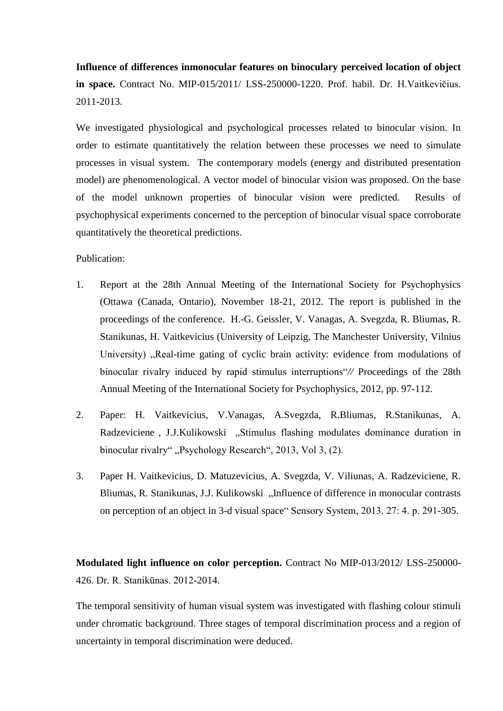**Influence of differences inmonocular features on binoculary perceived location of object in space.** Contract No. MIP-015/2011/ LSS-250000-1220. Prof. habil. Dr. H.Vaitkevičius. 2011-2013.

We investigated physiological and psychological processes related to binocular vision. In order to estimate quantitatively the relation between these processes we need to simulate processes in visual system. The contemporary models (energy and distributed presentation model) are phenomenological. A vector model of binocular vision was proposed. On the base of the model unknown properties of binocular vision were predicted. Results of psychophysical experiments concerned to the perception of binocular visual space corroborate quantitatively the theoretical predictions.

Publication:

- 1. Report at the 28th Annual Meeting of the International Society for Psychophysics (Ottawa (Canada, Ontario), November 18-21, 2012. The report is published in the proceedings of the conference. H.-G. Geissler, V. Vanagas, A. Svegzda, R. Bliumas, R. Stanikunas, H. Vaitkevicius (University of Leipzig, The Manchester University, Vilnius University) "Real-time gating of cyclic brain activity: evidence from modulations of binocular rivalry induced by rapid stimulus interruptions"*//* Proceedings of the 28th Annual Meeting of the International Society for Psychophysics, 2012, pp. 97-112.
- 2. Paper: H. Vaitkevicius, V.Vanagas, A.Svegzda, R.Bliumas, R.Stanikunas, A. Radzeviciene, J.J.Kulikowski, Stimulus flashing modulates dominance duration in binocular rivalry", Psychology Research", 2013, Vol 3, (2).
- 3. Paper H. Vaitkevicius, D. Matuzevicius, A. Svegzda, V. Viliunas, A. Radzeviciene, R. Bliumas, R. Stanikunas, J.J. Kulikowski "Influence of difference in monocular contrasts on perception of an object in 3-d visual space" Sensory System, 2013. 27: 4. p. 291-305.

**Modulated light influence on color perception.** Contract No MIP-013/2012/ LSS-250000- 426. Dr. R. Stanikūnas. 2012-2014.

The temporal sensitivity of human visual system was investigated with flashing colour stimuli under chromatic background. Three stages of temporal discrimination process and a region of uncertainty in temporal discrimination were deduced.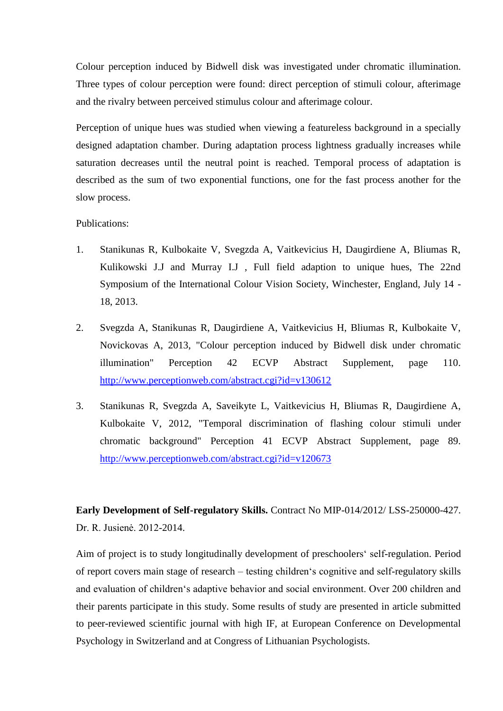Colour perception induced by Bidwell disk was investigated under chromatic illumination. Three types of colour perception were found: direct perception of stimuli colour, afterimage and the rivalry between perceived stimulus colour and afterimage colour.

Perception of unique hues was studied when viewing a featureless background in a specially designed adaptation chamber. During adaptation process lightness gradually increases while saturation decreases until the neutral point is reached. Temporal process of adaptation is described as the sum of two exponential functions, one for the fast process another for the slow process.

#### Publications:

- 1. Stanikunas R, Kulbokaite V, Svegzda A, Vaitkevicius H, Daugirdiene A, Bliumas R, Kulikowski J.J and Murray I.J , Full field adaption to unique hues, The 22nd Symposium of the International Colour Vision Society, Winchester, England, July 14 - 18, 2013.
- 2. Svegzda A, Stanikunas R, Daugirdiene A, Vaitkevicius H, Bliumas R, Kulbokaite V, Novickovas A, 2013, "Colour perception induced by Bidwell disk under chromatic illumination" Perception 42 ECVP Abstract Supplement, page 110. <http://www.perceptionweb.com/abstract.cgi?id=v130612>
- 3. Stanikunas R, Svegzda A, Saveikyte L, Vaitkevicius H, Bliumas R, Daugirdiene A, Kulbokaite V, 2012, "Temporal discrimination of flashing colour stimuli under chromatic background" Perception 41 ECVP Abstract Supplement, page 89. <http://www.perceptionweb.com/abstract.cgi?id=v120673>

**Early Development of Self-regulatory Skills.** Contract No MIP-014/2012/ LSS-250000-427. Dr. R. Jusienė. 2012-2014.

Aim of project is to study longitudinally development of preschoolers' self-regulation. Period of report covers main stage of research – testing children's cognitive and self-regulatory skills and evaluation of children's adaptive behavior and social environment. Over 200 children and their parents participate in this study. Some results of study are presented in article submitted to peer-reviewed scientific journal with high IF, at European Conference on Developmental Psychology in Switzerland and at Congress of Lithuanian Psychologists.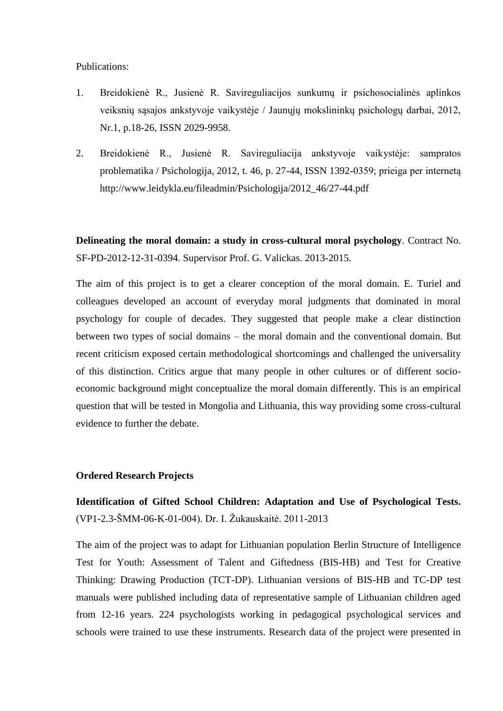Publications:

- 1. Breidokienė R., Jusienė R. Savireguliacijos sunkumų ir psichosocialinės aplinkos veiksnių sąsajos ankstyvoje vaikystėje / Jaunųjų mokslininkų psichologų darbai, 2012, Nr.1, p.18-26, ISSN 2029-9958.
- 2. Breidokienė R., Jusienė R. Savireguliacija ankstyvoje vaikystėje: sampratos problematika / Psichologija, 2012, t. 46, p. 27-44, ISSN 1392-0359; prieiga per internetą [http://www.leidykla.eu/fileadmin/Psichologija/2012\\_46/27-44.pdf](http://www.leidykla.eu/fileadmin/Psichologija/2012_46/27-44.pdf)

**Delineating the moral domain: a study in cross-cultural moral psychology**. Contract No. SF-PD-2012-12-31-0394. Supervisor Prof. G. Valickas. 2013-2015.

The aim of this project is to get a clearer conception of the moral domain. E. Turiel and colleagues developed an account of everyday moral judgments that dominated in moral psychology for couple of decades. They suggested that people make a clear distinction between two types of social domains – the moral domain and the conventional domain. But recent criticism exposed certain methodological shortcomings and challenged the universality of this distinction. Critics argue that many people in other cultures or of different socioeconomic background might conceptualize the moral domain differently. This is an empirical question that will be tested in Mongolia and Lithuania, this way providing some cross-cultural evidence to further the debate.

### **Ordered Research Projects**

**Identification of Gifted School Children: Adaptation and Use of Psychological Tests.** (VP1-2.3-ŠMM-06-K-01-004). Dr. I. Žukauskaitė. 2011-2013

The aim of the project was to adapt for Lithuanian population Berlin Structure of Intelligence Test for Youth: Assessment of Talent and Giftedness (BIS-HB) and Test for Creative Thinking: Drawing Production (TCT-DP). Lithuanian versions of BIS-HB and TC-DP test manuals were published including data of representative sample of Lithuanian children aged from 12-16 years. 224 psychologists working in pedagogical psychological services and schools were trained to use these instruments. Research data of the project were presented in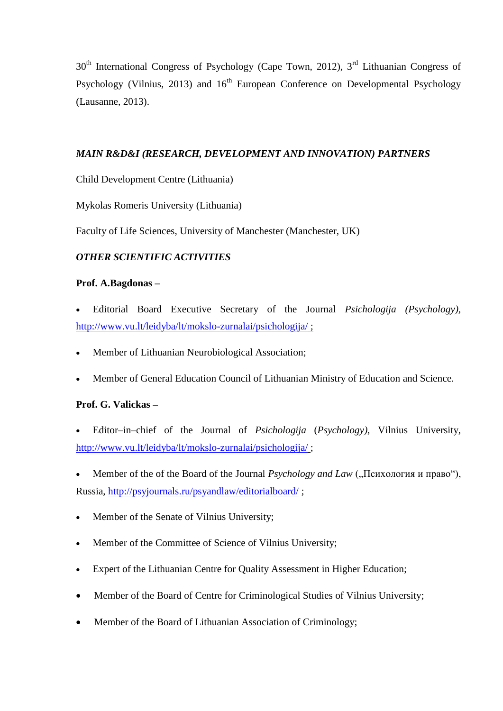30<sup>th</sup> International Congress of Psychology (Cape Town, 2012), 3<sup>rd</sup> Lithuanian Congress of Psychology (Vilnius, 2013) and  $16<sup>th</sup>$  European Conference on Developmental Psychology (Lausanne, 2013).

## *MAIN R&D&I (RESEARCH, DEVELOPMENT AND INNOVATION) PARTNERS*

Child Development Centre (Lithuania)

Mykolas Romeris University (Lithuania)

Faculty of Life Sciences, University of Manchester (Manchester, UK)

# *OTHER SCIENTIFIC ACTIVITIES*

# **Prof. A.Bagdonas –**

- Editorial Board Executive Secretary of the Journal *Psichologija (Psychology),*  <http://www.vu.lt/leidyba/lt/mokslo-zurnalai/psichologija/> ;
- Member of Lithuanian Neurobiological Association;
- Member of General Education Council of Lithuanian Ministry of Education and Science.

## **Prof. G. Valickas –**

- Editor–in–chief of the Journal of *Psichologija* (*Psychology)*, Vilnius University, <http://www.vu.lt/leidyba/lt/mokslo-zurnalai/psichologija/> ;
- Member of the of the Board of the Journal *Psychology and Law* ("Психология и право"), Russia, <http://psyjournals.ru/psyandlaw/editorialboard/> ;
- Member of the Senate of Vilnius University;
- Member of the Committee of Science of Vilnius University;
- Expert of the Lithuanian Centre for Quality Assessment in Higher Education;
- Member of the Board of Centre for Criminological Studies of Vilnius University;
- Member of the Board of Lithuanian Association of Criminology;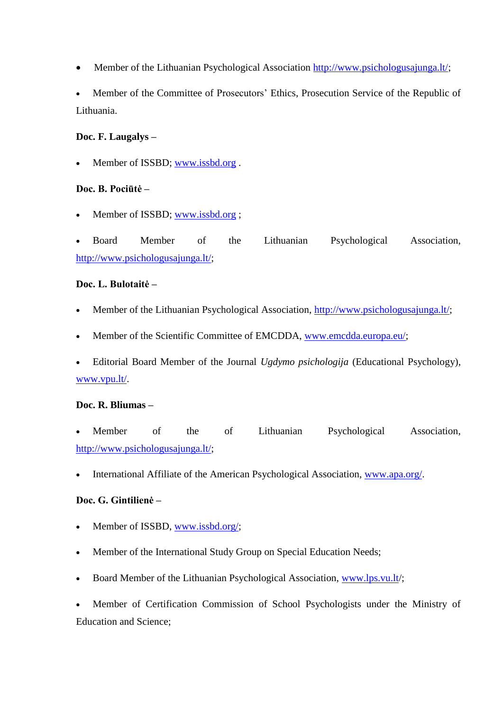• Member of the Lithuanian Psychological Association [http://www.psichologusajunga.lt/;](http://www.psichologusajunga.lt/)

 Member of the Committee of Prosecutors' Ethics, Prosecution Service of the Republic of Lithuania.

## **Doc. F. Laugalys –**

Member of ISSBD; [www.issbd.org](http://www.issbd.org/) .

# **Doc. B. Pociūtė –**

Member of ISSBD; [www.issbd.org](http://www.issbd.org/);

 Board Member of the Lithuanian Psychological Association, [http://www.psichologusajunga.lt/;](http://www.psichologusajunga.lt/)

# **Doc. L. Bulotaitė –**

- Member of the Lithuanian Psychological Association, [http://www.psichologusajunga.lt/;](http://www.psichologusajunga.lt/)
- Member of the Scientific Committee of EMCDDA, [www.emcdda.europa.eu/;](http://www.emcdda.europa.eu/)

 Editorial Board Member of the Journal *Ugdymo psichologija* (Educational Psychology), [www.vpu.lt/.](http://www.vpu.lt/)

## **Doc. R. Bliumas –**

- Member of the of Lithuanian Psychological Association, [http://www.psichologusajunga.lt/;](http://www.psichologusajunga.lt/)
- International Affiliate of the American Psychological Association, [www.apa.org/.](http://www.apa.org/)

## **Doc. G. Gintilienė –**

- Member of ISSBD, [www.issbd.org/;](http://www.issbd.org/)
- Member of the International Study Group on Special Education Needs;
- Board Member of the Lithuanian Psychological Association, [www.lps.vu.lt/](http://www.lps.vu.lt/);

 Member of Certification Commission of School Psychologists under the Ministry of Education and Science;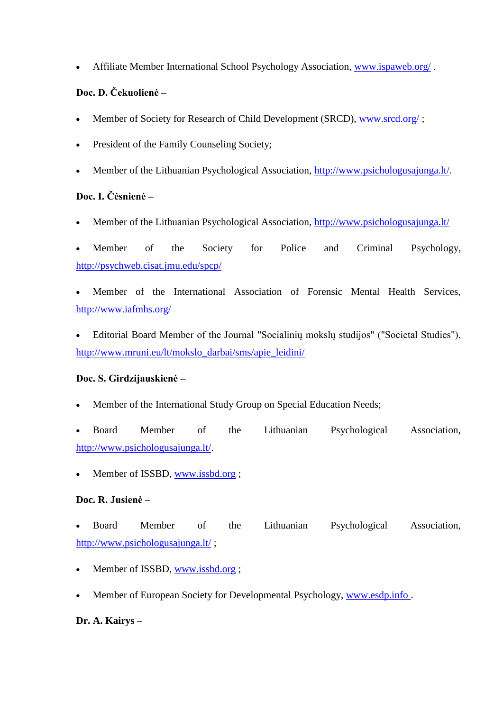Affiliate Member International School Psychology Association, [www.ispaweb.org/](http://www.ispaweb.org/) .

# **Doc. D. Čekuolienė –**

- Member of Society for Research of Child Development (SRCD), [www.srcd.org/](http://www.srcd.org/) ;
- President of the Family Counseling Society:
- Member of the Lithuanian Psychological Association, [http://www.psichologusajunga.lt/.](http://www.psichologusajunga.lt/)

# **Doc. I. Čėsnienė –**

Member of the Lithuanian Psychological Association,<http://www.psichologusajunga.lt/>

 Member of the Society for Police and Criminal Psychology, <http://psychweb.cisat.jmu.edu/spcp/>

 Member of the International Association of Forensic Mental Health Services, <http://www.iafmhs.org/>

 Editorial Board Member of the Journal "Socialinių mokslų studijos" ("Societal Studies"), [http://www.mruni.eu/lt/mokslo\\_darbai/sms/apie\\_leidini/](http://www.mruni.eu/lt/mokslo_darbai/sms/apie_leidini/)

# **Doc. S. Girdzijauskienė –**

Member of the International Study Group on Special Education Needs;

 Board Member of the Lithuanian Psychological Association, [http://www.psichologusajunga.lt/.](http://www.psichologusajunga.lt/)

Member of ISSBD, [www.issbd.org](http://www.issbd.org/) ;

# **Doc. R. Jusienė –**

 Board Member of the Lithuanian Psychological Association, <http://www.psichologusajunga.lt/> ;

- Member of ISSBD, [www.issbd.org](http://www.issbd.org/) ;
- Member of European Society for Developmental Psychology, [www.esdp.info](http://www.esdp.info/) .

# **Dr. A. Kairys –**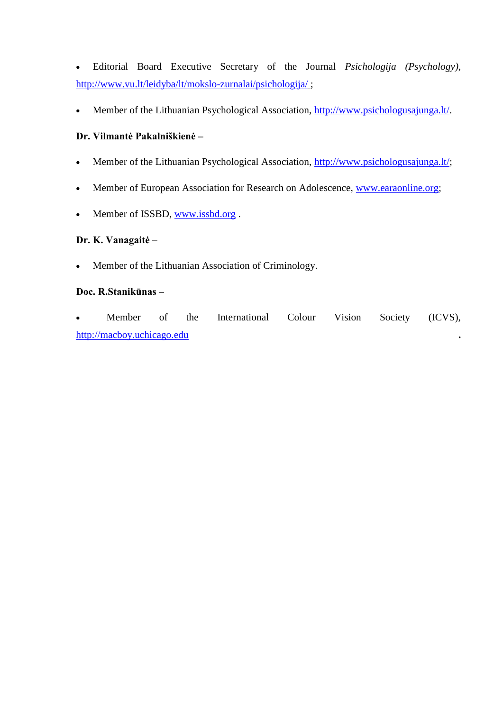Editorial Board Executive Secretary of the Journal *Psichologija (Psychology),*  <http://www.vu.lt/leidyba/lt/mokslo-zurnalai/psichologija/> ;

Member of the Lithuanian Psychological Association, [http://www.psichologusajunga.lt/.](http://www.psichologusajunga.lt/)

# **Dr. Vilmantė Pakalniškienė –**

- Member of the Lithuanian Psychological Association, [http://www.psichologusajunga.lt/;](http://www.psichologusajunga.lt/)
- Member of European Association for Research on Adolescence, [www.earaonline.org;](http://www.earaonline.org/)
- Member of ISSBD, [www.issbd.org](http://www.issbd.org/).

## **Dr. K. Vanagaitė –**

• Member of the Lithuanian Association of Criminology.

### **Doc. R.Stanikūnas –**

• Member of the International Colour Vision Society (ICVS), [http://macboy.uchicago.edu](http://macboy.uchicago.edu/) **.**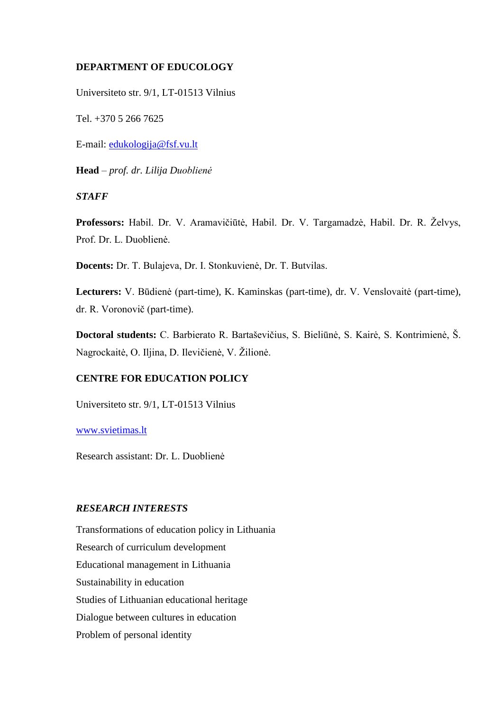### **DEPARTMENT OF EDUCOLOGY**

Universiteto str. 9/1, LT-01513 Vilnius

Tel. +370 5 266 7625

E-mail: [edukologija@fsf.vu.lt](mailto:edukologija@fsf.vu.lt)

**Head** – *prof. dr. Lilija Duoblienė*

#### *STAFF*

**Professors:** Habil. Dr. V. Aramavičiūtė, Habil. Dr. V. Targamadzė, Habil. Dr. R. Želvys, Prof. Dr. L. Duoblienė.

**Docents:** Dr. T. Bulajeva, Dr. I. Stonkuvienė, Dr. T. Butvilas.

**Lecturers:** V. Būdienė (part-time), K. Kaminskas (part-time), dr. V. Venslovaitė (part-time), dr. R. Voronovič (part-time).

**Doctoral students:** C. Barbierato R. Bartaševičius, S. Bieliūnė, S. Kairė, S. Kontrimienė, Š. Nagrockaitė, O. Iljina, D. Ilevičienė, V. Žilionė.

# **CENTRE FOR EDUCATION POLICY**

Universiteto str. 9/1, LT-01513 Vilnius

[www.svietimas.lt](http://www.svietimas.lt/)

Research assistant: Dr. L. Duoblienė

### *RESEARCH INTERESTS*

Transformations of education policy in Lithuania Research of curriculum development Educational management in Lithuania Sustainability in education Studies of Lithuanian educational heritage Dialogue between cultures in education Problem of personal identity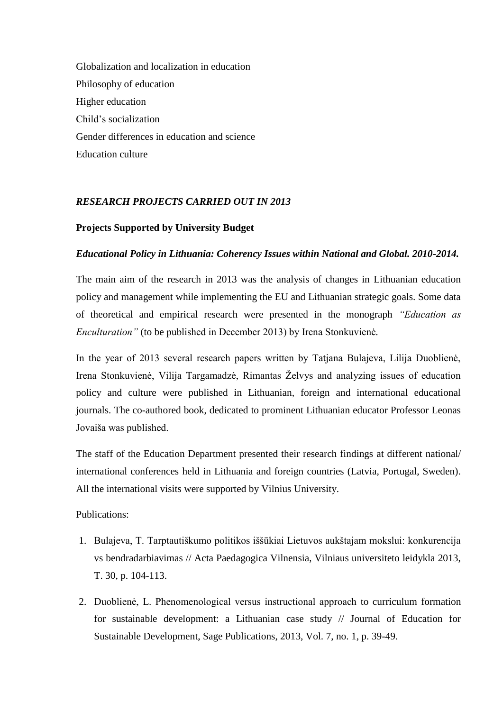Globalization and localization in education Philosophy of education Higher education Child's socialization Gender differences in education and science Education culture

## *RESEARCH PROJECTS CARRIED OUT IN 2013*

#### **Projects Supported by University Budget**

#### *Educational Policy in Lithuania: Coherency Issues within National and Global. 2010-2014.*

The main aim of the research in 2013 was the analysis of changes in Lithuanian education policy and management while implementing the EU and Lithuanian strategic goals. Some data of theoretical and empirical research were presented in the monograph *"Education as Enculturation"* (to be published in December 2013) by Irena Stonkuvienė*.*

In the year of 2013 several research papers written by Tatjana Bulajeva, Lilija Duoblienė, Irena Stonkuvienė, Vilija Targamadzė, Rimantas Želvys and analyzing issues of education policy and culture were published in Lithuanian, foreign and international educational journals. The co-authored book, dedicated to prominent Lithuanian educator Professor Leonas Jovaiša was published.

The staff of the Education Department presented their research findings at different national/ international conferences held in Lithuania and foreign countries (Latvia, Portugal, Sweden). All the international visits were supported by Vilnius University.

Publications:

- 1. Bulajeva, T. Tarptautiškumo politikos iššūkiai Lietuvos aukštajam mokslui: konkurencija vs bendradarbiavimas // Acta Paedagogica Vilnensia, Vilniaus universiteto leidykla 2013, T. 30, p. 104-113.
- 2. Duoblienė, L. Phenomenological versus instructional approach to curriculum formation for sustainable development: a Lithuanian case study // Journal of Education for Sustainable Development, Sage Publications, 2013, Vol. 7, no. 1, p. 39-49.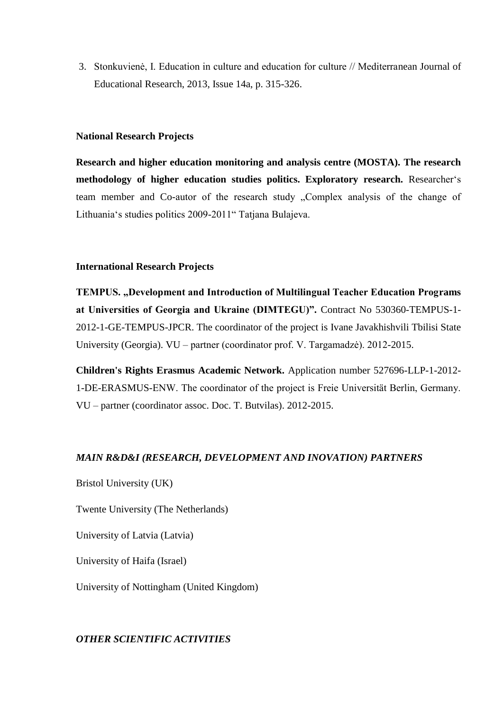3. Stonkuvienė, I. Education in culture and education for culture // Mediterranean Journal of Educational Research, 2013, Issue 14a, p. 315-326.

### **National Research Projects**

**Research and higher education monitoring and analysis centre (MOSTA). The research methodology of higher education studies politics. Exploratory research.** Researcher's team member and Co-autor of the research study "Complex analysis of the change of Lithuania's studies politics 2009-2011" Tatjana Bulajeva.

#### **International Research Projects**

**TEMPUS. "Development and Introduction of Multilingual Teacher Education Programs at Universities of Georgia and Ukraine (DIMTEGU)".** Contract No 530360-TEMPUS-1- 2012-1-GE-TEMPUS-JPCR. The coordinator of the project is Ivane Javakhishvili Tbilisi State University (Georgia). VU – partner (coordinator prof. V. Targamadzė). 2012-2015.

**Children's Rights Erasmus Academic Network.** Application number 527696-LLP-1-2012- 1-DE-ERASMUS-ENW. The coordinator of the project is Freie Universität Berlin, Germany. VU – partner (coordinator assoc. Doc. T. Butvilas). 2012-2015.

### *MAIN R&D&I (RESEARCH, DEVELOPMENT AND INOVATION) PARTNERS*

Bristol University (UK)

Twente University (The Netherlands)

University of Latvia (Latvia)

University of Haifa (Israel)

University of Nottingham (United Kingdom)

#### *OTHER SCIENTIFIC ACTIVITIES*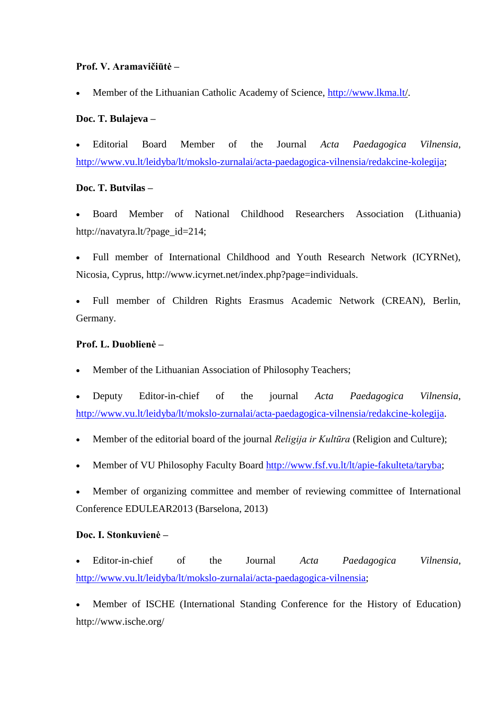## **Prof. V. Aramavičiūtė –**

Member of the Lithuanian Catholic Academy of Science, http:/[/www.lkma.lt/](http://www.lkma.lt/).

# **Doc. T. Bulajeva –**

 Editorial Board Member of the Journal *Acta Paedagogica Vilnensia,*  [http://www.vu.lt/leidyba/lt/mokslo-zurnalai/acta-paedagogica-vilnensia/redakcine-kolegija;](http://www.vu.lt/leidyba/lt/mokslo-zurnalai/acta-paedagogica-vilnensia/redakcine-kolegija)

# **Doc. T. Butvilas –**

 Board Member of National Childhood Researchers Association (Lithuania) http://navatyra.lt/?page\_id=214;

 Full member of International Childhood and Youth Research Network (ICYRNet), Nicosia, Cyprus, http://www.icyrnet.net/index.php?page=individuals.

 Full member of Children Rights Erasmus Academic Network (CREAN), Berlin, Germany.

## **Prof. L. Duoblienė –**

Member of the Lithuanian Association of Philosophy Teachers;

 Deputy Editor-in-chief of the journal *Acta Paedagogica Vilnensia*, [http://www.vu.lt/leidyba/lt/mokslo-zurnalai/acta-paedagogica-vilnensia/redakcine-kolegija.](http://www.vu.lt/leidyba/lt/mokslo-zurnalai/acta-paedagogica-vilnensia/redakcine-kolegija)

- Member of the editorial board of the journal *Religija ir Kultūra* (Religion and Culture);
- Member of VU Philosophy Faculty Board [http://www.fsf.vu.lt/lt/apie-fakulteta/taryba;](http://www.fsf.vu.lt/lt/apie-fakulteta/taryba)
- Member of organizing committee and member of reviewing committee of International Conference EDULEAR2013 (Barselona, 2013)

## **Doc. I. Stonkuvienė –**

 Editor-in-chief of the Journal *Acta Paedagogica Vilnensia*, [http://www.vu.lt/leidyba/lt/mokslo-zurnalai/acta-paedagogica-vilnensia;](http://www.vu.lt/leidyba/lt/mokslo-zurnalai/acta-paedagogica-vilnensia)

 Member of ISCHE (International Standing Conference for the History of Education) http://www.ische.org/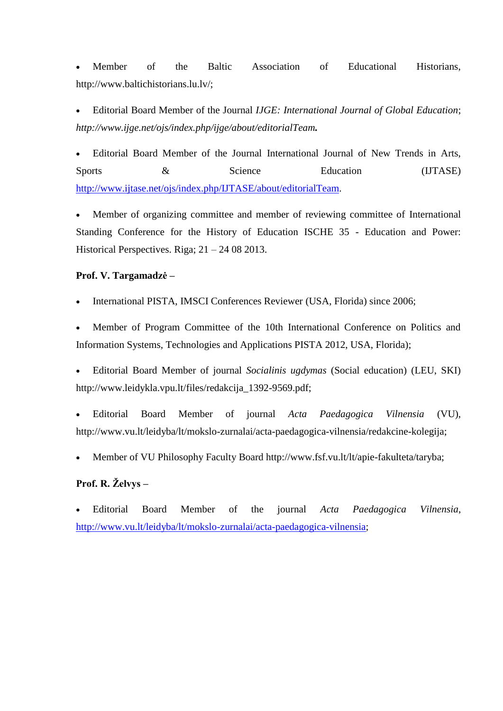Member of the Baltic Association of Educational Historians, http://www.baltichistorians.lu.lv/;

 Editorial Board Member of the Journal *IJGE: International Journal of Global Education*; *http://www.ijge.net/ojs/index.php/ijge/about/editorialTeam.*

 Editorial Board Member of the Journal International Journal of New Trends in Arts, Sports  $\&$  Science Education (IJTASE) [http://www.ijtase.net/ojs/index.php/IJTASE/about/editorialTeam.](http://www.ijtase.net/ojs/index.php/IJTASE/about/editorialTeam)

 Member of organizing committee and member of reviewing committee of International Standing Conference for the History of Education ISCHE 35 - Education and Power: Historical Perspectives. Riga;  $21 - 24082013$ .

### **Prof. V. Targamadzė –**

International PISTA, IMSCI Conferences Reviewer (USA, Florida) since 2006;

 Member of Program Committee of the 10th International Conference on Politics and Information Systems, Technologies and Applications PISTA 2012, USA, Florida);

 Editorial Board Member of journal *Socialinis ugdymas* (Social education) (LEU, SKI) http://www.leidykla.vpu.lt/files/redakcija\_1392-9569.pdf;

 Editorial Board Member of journal *Acta Paedagogica Vilnensia* (VU), http://www.vu.lt/leidyba/lt/mokslo-zurnalai/acta-paedagogica-vilnensia/redakcine-kolegija;

Member of VU Philosophy Faculty Board http://www.fsf.vu.lt/lt/apie-fakulteta/taryba;

# **Prof. R. Želvys –**

 Editorial Board Member of the journal *Acta Paedagogica Vilnensia*, [http://www.vu.lt/leidyba/lt/mokslo-zurnalai/acta-paedagogica-vilnensia;](http://www.vu.lt/leidyba/lt/mokslo-zurnalai/acta-paedagogica-vilnensia)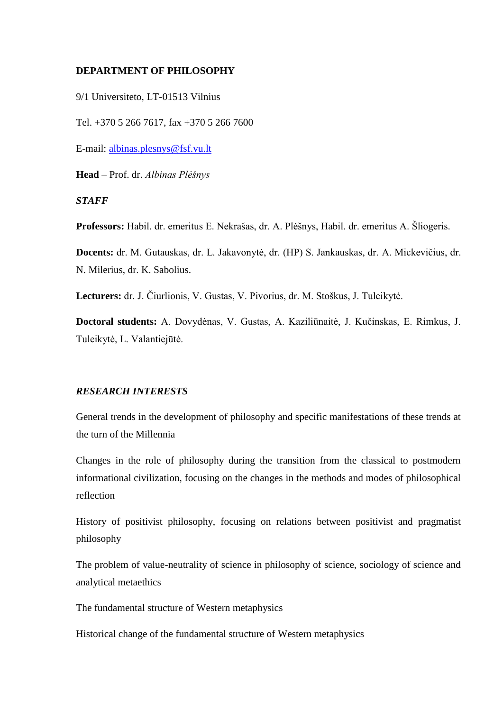### **DEPARTMENT OF PHILOSOPHY**

9/1 Universiteto, LT-01513 Vilnius

Tel. +370 5 266 7617, fax +370 5 266 7600

E-mail: [albinas.plesnys@fsf.vu.lt](mailto:albinas.plesnys@fsf.vu.lt)

**Head** – Prof. dr. *Albinas Plėšnys*

#### *STAFF*

**Professors:** Habil. dr. emeritus E. Nekrašas, dr. A. Plėšnys, Habil. dr. emeritus A. Šliogeris.

**Docents:** dr. M. Gutauskas, dr. L. Jakavonytė, dr. (HP) S. Jankauskas, dr. A. Mickevičius, dr. N. Milerius, dr. K. Sabolius.

**Lecturers:** dr. J. Čiurlionis, V. Gustas, V. Pivorius, dr. M. Stoškus, J. Tuleikytė.

**Doctoral students:** A. Dovydėnas, V. Gustas, A. Kaziliūnaitė, J. Kučinskas, E. Rimkus, J. Tuleikytė, L. Valantiejūtė.

### *RESEARCH INTERESTS*

General trends in the development of philosophy and specific manifestations of these trends at the turn of the Millennia

Changes in the role of philosophy during the transition from the classical to postmodern informational civilization, focusing on the changes in the methods and modes of philosophical reflection

History of positivist philosophy, focusing on relations between positivist and pragmatist philosophy

The problem of value-neutrality of science in philosophy of science, sociology of science and analytical metaethics

The fundamental structure of Western metaphysics

Historical change of the fundamental structure of Western metaphysics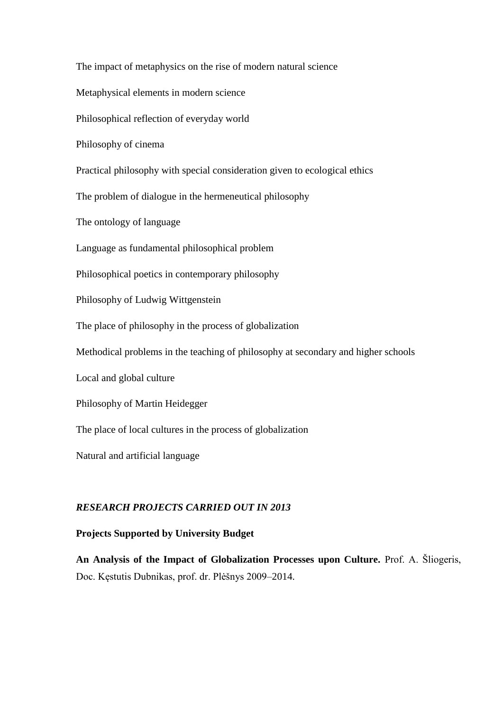The impact of metaphysics on the rise of modern natural science Metaphysical elements in modern science Philosophical reflection of everyday world Philosophy of cinema Practical philosophy with special consideration given to ecological ethics The problem of dialogue in the hermeneutical philosophy The ontology of language Language as fundamental philosophical problem Philosophical poetics in contemporary philosophy Philosophy of Ludwig Wittgenstein The place of philosophy in the process of globalization Methodical problems in the teaching of philosophy at secondary and higher schools Local and global culture Philosophy of Martin Heidegger The place of local cultures in the process of globalization Natural and artificial language

## *RESEARCH PROJECTS CARRIED OUT IN 2013*

## **Projects Supported by University Budget**

**An Analysis of the Impact of Globalization Processes upon Culture.** Prof. A. Šliogeris, Doc. Kęstutis Dubnikas, prof. dr. Plėšnys 2009–2014.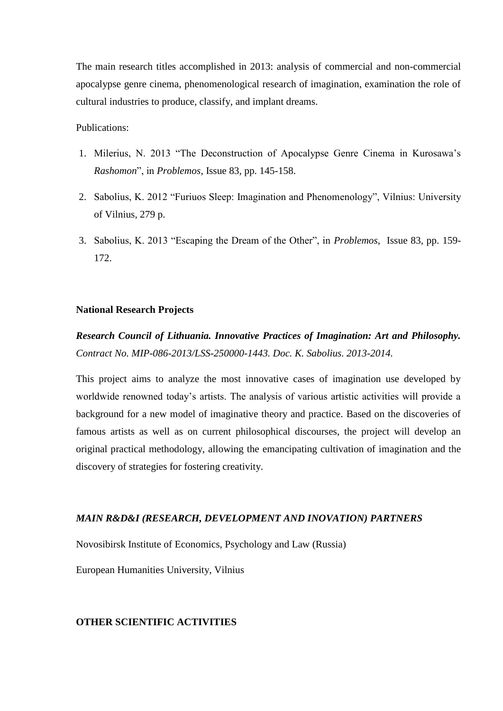The main research titles accomplished in 2013: analysis of commercial and non-commercial apocalypse genre cinema, phenomenological research of imagination, examination the role of cultural industries to produce, classify, and implant dreams.

Publications:

- 1. Milerius, N. 2013 "The Deconstruction of Apocalypse Genre Cinema in Kurosawa's *Rashomon*", in *Problemos*, Issue 83, pp. 145-158.
- 2. Sabolius, K. 2012 "Furiuos Sleep: Imagination and Phenomenology", Vilnius: University of Vilnius, 279 p.
- 3. Sabolius, K. 2013 "Escaping the Dream of the Other", in *Problemos*, Issue 83, pp. 159- 172.

#### **National Research Projects**

*Research Council of Lithuania. Innovative Practices of Imagination: Art and Philosophy. Contract No. MIP-086-2013/LSS-250000-1443. Doc. K. Sabolius. 2013-2014.*

This project aims to analyze the most innovative cases of imagination use developed by worldwide renowned today's artists. The analysis of various artistic activities will provide a background for a new model of imaginative theory and practice. Based on the discoveries of famous artists as well as on current philosophical discourses, the project will develop an original practical methodology, allowing the emancipating cultivation of imagination and the discovery of strategies for fostering creativity.

#### *MAIN R&D&I (RESEARCH, DEVELOPMENT AND INOVATION) PARTNERS*

Novosibirsk Institute of Economics, Psychology and Law (Russia)

European Humanities University, Vilnius

### **OTHER SCIENTIFIC ACTIVITIES**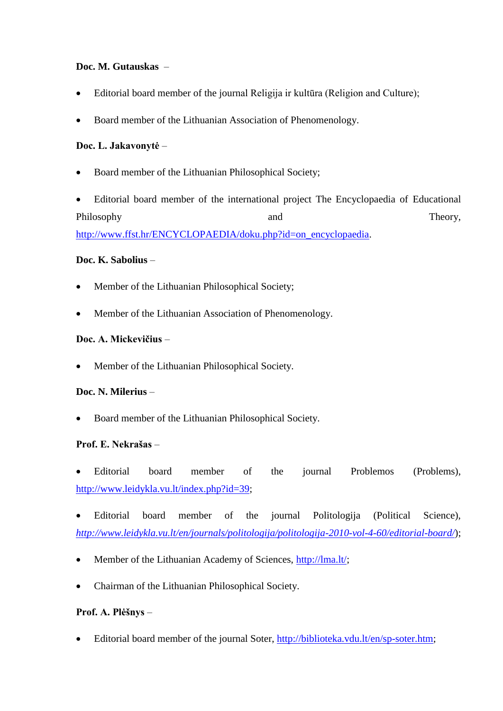## **Doc. M. Gutauskas** –

- Editorial board member of the journal Religija ir kultūra (Religion and Culture);
- Board member of the Lithuanian Association of Phenomenology.

# **Doc. L. Jakavonytė** –

- Board member of the Lithuanian Philosophical Society;
- Editorial board member of the international project The Encyclopaedia of Educational Philosophy and Theory, [http://www.ffst.hr/ENCYCLOPAEDIA/doku.php?id=on\\_encyclopaedia.](http://www.ffst.hr/ENCYCLOPAEDIA/doku.php?id=on_encyclopaedia)

## **Doc. K. Sabolius** –

- Member of the Lithuanian Philosophical Society;
- Member of the Lithuanian Association of Phenomenology.

## **Doc. A. Mickevičius** –

Member of the Lithuanian Philosophical Society.

## **Doc. N. Milerius** –

Board member of the Lithuanian Philosophical Society.

## **Prof. E. Nekrašas** –

- Editorial board member of the journal Problemos (Problems), [http://www.leidykla.vu.lt/index.php?id=39;](http://www.leidykla.vu.lt/index.php?id=39)
- Editorial board member of the journal Politologija (Political Science), *<http://www.leidykla.vu.lt/en/journals/politologija/politologija-2010-vol-4-60/editorial-board/>*);
- Member of the Lithuanian Academy of Sciences, [http://lma.lt/;](http://lma.lt/)
- Chairman of the Lithuanian Philosophical Society.

## **Prof. A. Plėšnys** –

Editorial board member of the journal Soter, [http://biblioteka.vdu.lt/en/sp-soter.htm;](http://biblioteka.vdu.lt/en/sp-soter.htm)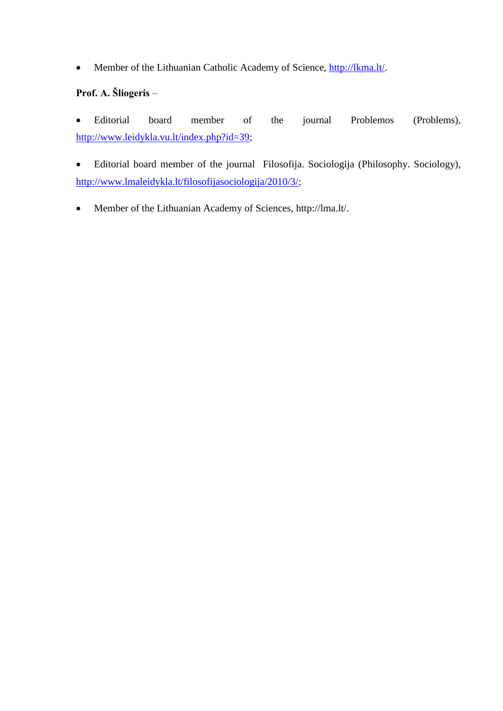• Member of the Lithuanian Catholic Academy of Science, [http://lkma.lt/.](http://lkma.lt/)

# **Prof. A. Šliogeris** –

 Editorial board member of the journal Problemos (Problems), [http://www.leidykla.vu.lt/index.php?id=39;](http://www.leidykla.vu.lt/index.php?id=39)

 Editorial board member of the journal Filosofija. Sociologija (Philosophy. Sociology), [http://www.lmaleidykla.lt/filosofijasociologija/2010/3/;](http://www.lmaleidykla.lt/filosofijasociologija/2010/3/)

Member of the Lithuanian Academy of Sciences, http://lma.lt/.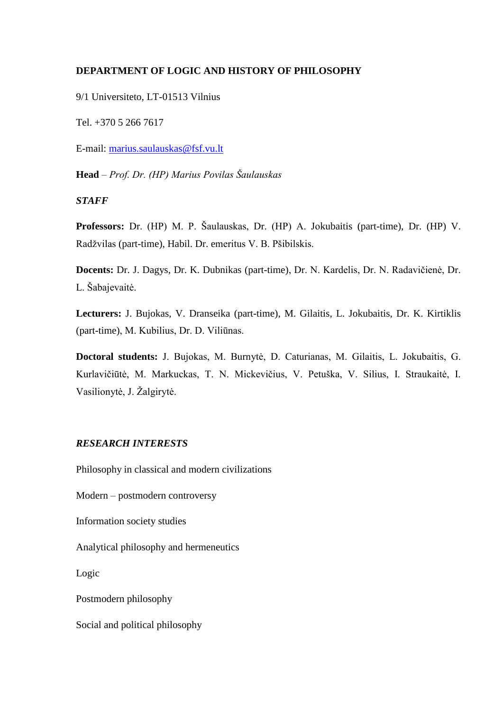## **DEPARTMENT OF LOGIC AND HISTORY OF PHILOSOPHY**

9/1 Universiteto, LT-01513 Vilnius

Tel. +370 5 266 7617

E-mail: [marius.saulauskas@fsf.vu.lt](mailto:marius.saulauskas@fsf.vu.lt)

**Head** – *Prof. Dr. (HP) Marius Povilas Šaulauskas*

### *STAFF*

**Professors:** Dr. (HP) M. P. Šaulauskas, Dr. (HP) A. Jokubaitis (part-time), Dr. (HP) V. Radžvilas (part-time), Habil. Dr. emeritus V. B. Pšibilskis.

**Docents:** Dr. J. Dagys, Dr. K. Dubnikas (part-time), Dr. N. Kardelis, Dr. N. Radavičienė, Dr. L. Šabajevaitė.

**Lecturers:** J. Bujokas, V. Dranseika (part-time), M. Gilaitis, L. Jokubaitis, Dr. K. Kirtiklis (part-time), M. Kubilius, Dr. D. Viliūnas.

**Doctoral students:** J. Bujokas, M. Burnytė, D. Caturianas, M. Gilaitis, L. Jokubaitis, G. Kurlavičiūtė, M. Markuckas, T. N. Mickevičius, V. Petuška, V. Silius, I. Straukaitė, I. Vasilionytė, J. Žalgirytė.

## *RESEARCH INTERESTS*

Philosophy in classical and modern civilizations

Modern – postmodern controversy

Information society studies

Analytical philosophy and hermeneutics

Logic

Postmodern philosophy

Social and political philosophy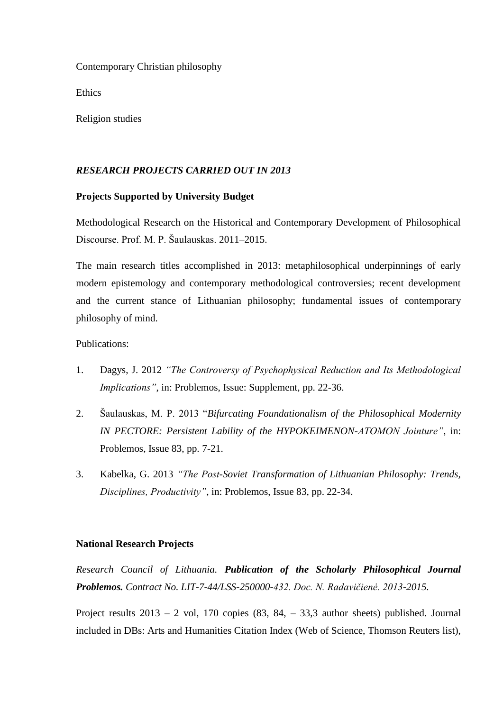Contemporary Christian philosophy

Ethics

Religion studies

### *RESEARCH PROJECTS CARRIED OUT IN 2013*

### **Projects Supported by University Budget**

Methodological Research on the Historical and Contemporary Development of Philosophical Discourse. Prof. M. P. Šaulauskas. 2011–2015.

The main research titles accomplished in 2013: metaphilosophical underpinnings of early modern epistemology and contemporary methodological controversies; recent development and the current stance of Lithuanian philosophy; fundamental issues of contemporary philosophy of mind.

Publications:

- 1. Dagys, J. 2012 *"The Controversy of Psychophysical Reduction and Its Methodological Implications"*, in: Problemos, Issue: Supplement, pp. 22-36.
- 2. Šaulauskas, M. P. 2013 "*Bifurcating Foundationalism of the Philosophical Modernity IN PECTORE: Persistent Lability of the HYPOKEIMENON-ATOMON Jointure"*, in: Problemos, Issue 83, pp. 7-21.
- 3. Kabelka, G. 2013 *"The Post-Soviet Transformation of Lithuanian Philosophy: Trends, Disciplines, Productivity"*, in: Problemos, Issue 83, pp. 22-34.

### **National Research Projects**

*Research Council of Lithuania. Publication of the Scholarly Philosophical Journal Problemos. Contract No. LIT-7-44/LSS-250000-432. Doc. N. Radavičienė. 2013-2015.*

Project results  $2013 - 2$  vol, 170 copies  $(83, 84, -33, 3)$  author sheets) published. Journal included in DBs: Arts and Humanities Citation Index (Web of Science, Thomson Reuters list),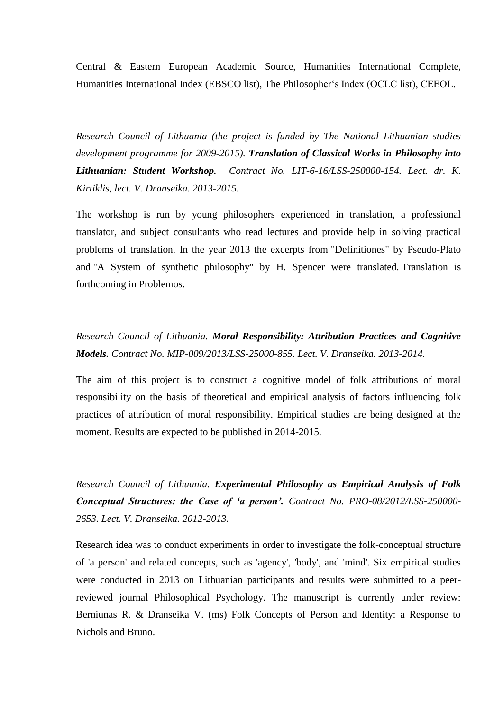Central & Eastern European Academic Source, Humanities International Complete, Humanities International Index (EBSCO list), The Philosopher's Index (OCLC list), CEEOL.

*Research Council of Lithuania (the project is funded by The National Lithuanian studies development programme for 2009-2015). Translation of Classical Works in Philosophy into Lithuanian: Student Workshop. Contract No. LIT-6-16/LSS-250000-154. Lect. dr. K. Kirtiklis, lect. V. Dranseika. 2013-2015.*

The workshop is run by young philosophers experienced in translation, a professional translator, and subject consultants who read lectures and provide help in solving practical problems of translation. In the year 2013 the excerpts from "Definitiones" by Pseudo-Plato and "A System of synthetic philosophy" by H. Spencer were translated. Translation is forthcoming in Problemos.

# *Research Council of Lithuania. Moral Responsibility: Attribution Practices and Cognitive Models. Contract No. MIP-009/2013/LSS-25000-855. Lect. V. Dranseika. 2013-2014.*

The aim of this project is to construct a cognitive model of folk attributions of moral responsibility on the basis of theoretical and empirical analysis of factors influencing folk practices of attribution of moral responsibility. Empirical studies are being designed at the moment. Results are expected to be published in 2014-2015.

*Research Council of Lithuania. Experimental Philosophy as Empirical Analysis of Folk Conceptual Structures: the Case of 'a person'. Contract No. PRO-08/2012/LSS-250000- 2653. Lect. V. Dranseika. 2012-2013.*

Research idea was to conduct experiments in order to investigate the folk-conceptual structure of 'a person' and related concepts, such as 'agency', 'body', and 'mind'. Six empirical studies were conducted in 2013 on Lithuanian participants and results were submitted to a peerreviewed journal Philosophical Psychology. The manuscript is currently under review: Berniunas R. & Dranseika V. (ms) Folk Concepts of Person and Identity: a Response to Nichols and Bruno.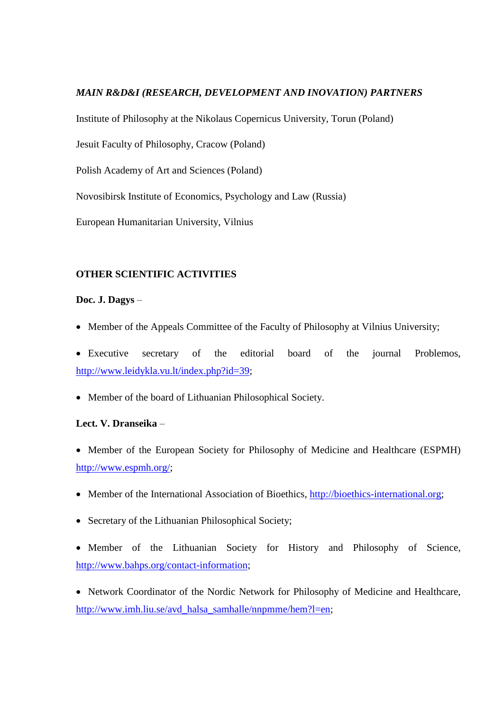### *MAIN R&D&I (RESEARCH, DEVELOPMENT AND INOVATION) PARTNERS*

Institute of Philosophy at the Nikolaus Copernicus University, Torun (Poland)

Jesuit Faculty of Philosophy, Cracow (Poland)

Polish Academy of Art and Sciences (Poland)

Novosibirsk Institute of Economics, Psychology and Law (Russia)

European Humanitarian University, Vilnius

### **OTHER SCIENTIFIC ACTIVITIES**

### **Doc. J. Dagys** –

- Member of the Appeals Committee of the Faculty of Philosophy at Vilnius University;
- Executive secretary of the editorial board of the journal Problemos, [http://www.leidykla.vu.lt/index.php?id=39;](http://www.leidykla.vu.lt/index.php?id=39)
- Member of the board of Lithuanian Philosophical Society.

### **Lect. V. Dranseika** –

- Member of the European Society for Philosophy of Medicine and Healthcare (ESPMH) [http://www.espmh.org/;](http://www.espmh.org/)
- Member of the International Association of Bioethics, [http://bioethics-international.org;](http://bioethics-international.org/)
- Secretary of the Lithuanian Philosophical Society;
- Member of the Lithuanian Society for History and Philosophy of Science, [http://www.bahps.org/contact-information;](http://www.bahps.org/contact-information)

• Network Coordinator of the Nordic Network for Philosophy of Medicine and Healthcare, [http://www.imh.liu.se/avd\\_halsa\\_samhalle/nnpmme/hem?l=en;](http://www.imh.liu.se/avd_halsa_samhalle/nnpmme/hem?l=en)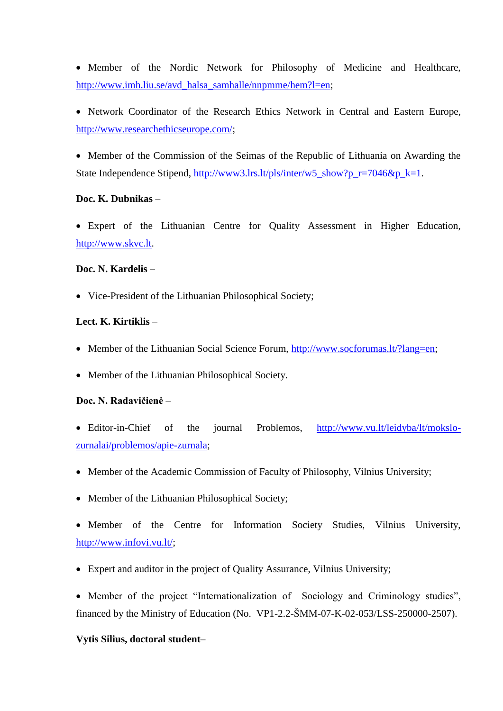Member of the Nordic Network for Philosophy of Medicine and Healthcare, [http://www.imh.liu.se/avd\\_halsa\\_samhalle/nnpmme/hem?l=en;](http://www.imh.liu.se/avd_halsa_samhalle/nnpmme/hem?l=en)

 Network Coordinator of the Research Ethics Network in Central and Eastern Europe, [http://www.researchethicseurope.com/;](http://www.researchethicseurope.com/)

 Member of the Commission of the Seimas of the Republic of Lithuania on Awarding the State Independence Stipend, [http://www3.lrs.lt/pls/inter/w5\\_show?p\\_r=7046&p\\_k=1.](http://www3.lrs.lt/pls/inter/w5_show?p_r=7046&p_k=1)

### **Doc. K. Dubnikas** –

 Expert of the Lithuanian Centre for Quality Assessment in Higher Education, [http://www.skvc.lt.](http://www.skvc.lt/)

### **Doc. N. Kardelis** –

• Vice-President of the Lithuanian Philosophical Society;

#### **Lect. K. Kirtiklis** –

- Member of the Lithuanian Social Science Forum, [http://www.socforumas.lt/?lang=en;](http://www.socforumas.lt/?lang=en)
- Member of the Lithuanian Philosophical Society.

#### **Doc. N. Radavičienė** –

- Editor-in-Chief of the journal Problemos, [http://www.vu.lt/leidyba/lt/mokslo](http://www.vu.lt/leidyba/lt/mokslo-zurnalai/problemos/apie-zurnala)[zurnalai/problemos/apie-zurnala;](http://www.vu.lt/leidyba/lt/mokslo-zurnalai/problemos/apie-zurnala)
- Member of the Academic Commission of Faculty of Philosophy, Vilnius University;
- Member of the Lithuanian Philosophical Society;

 Member of the Centre for Information Society Studies, Vilnius University, [http://www.infovi.vu.lt/;](http://www.infovi.vu.lt/)

- Expert and auditor in the project of Quality Assurance, Vilnius University;
- Member of the project "Internationalization of Sociology and Criminology studies", financed by the Ministry of Education (No. VP1-2.2-ŠMM-07-K-02-053/LSS-250000-2507).

#### **Vytis Silius, doctoral student**–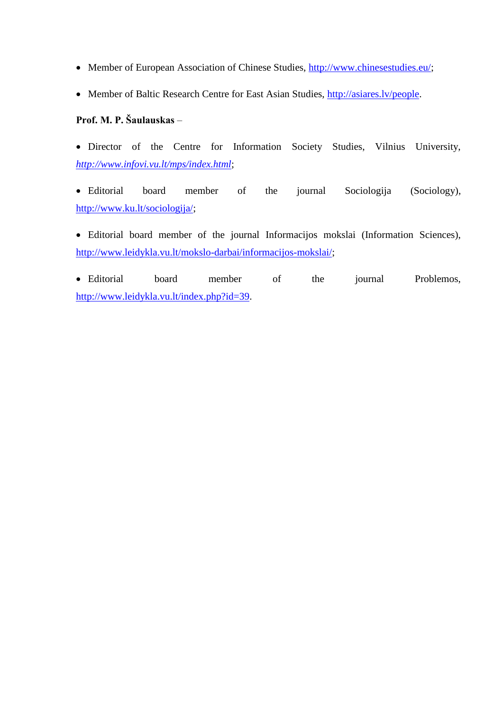- Member of European Association of Chinese Studies, [http://www.chinesestudies.eu/;](http://www.chinesestudies.eu/)
- Member of Baltic Research Centre for East Asian Studies, [http://asiares.lv/people.](http://asiares.lv/people)

# **Prof. M. P. Šaulauskas** –

 Director of the Centre for Information Society Studies, Vilnius University, *<http://www.infovi.vu.lt/mps/index.html>*;

 Editorial board member of the journal Sociologija (Sociology), [http://www.ku.lt/sociologija/;](http://www.ku.lt/sociologija/)

 Editorial board member of the journal Informacijos mokslai (Information Sciences), [http://www.leidykla.vu.lt/mokslo-darbai/informacijos-mokslai/;](http://www.leidykla.vu.lt/mokslo-darbai/informacijos-mokslai/)

 Editorial board member of the journal Problemos, [http://www.leidykla.vu.lt/index.php?id=39.](http://www.leidykla.vu.lt/index.php?id=39)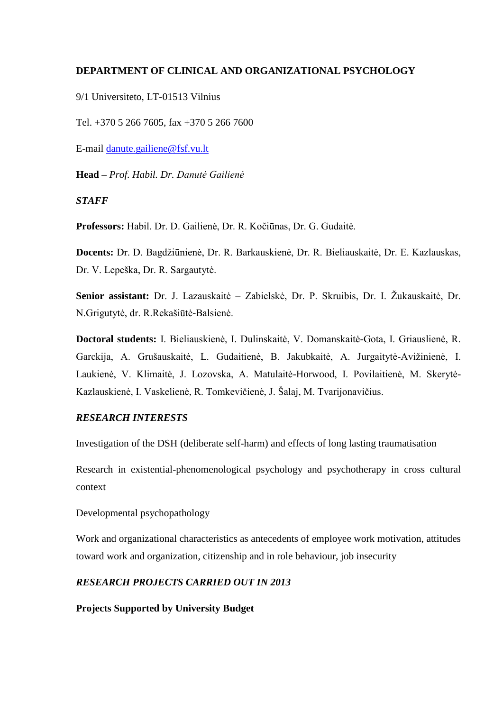### **DEPARTMENT OF CLINICAL AND ORGANIZATIONAL PSYCHOLOGY**

9/1 Universiteto, LT-01513 Vilnius

Tel. +370 5 266 7605, fax +370 5 266 7600

E-mail [danute.gailiene@fsf.vu.lt](mailto:danute.gailiene@fsf.vu.lt)

**Head –** *Prof. Habil. Dr. Danutė Gailienė*

#### *STAFF*

**Professors:** Habil. Dr. D. Gailienė, Dr. R. Kočiūnas, Dr. G. Gudaitė.

**Docents:** Dr. D. Bagdžiūnienė, Dr. R. Barkauskienė, Dr. R. Bieliauskaitė, Dr. E. Kazlauskas, Dr. V. Lepeška, Dr. R. Sargautytė.

**Senior assistant:** Dr. J. Lazauskaitė – Zabielskė, Dr. P. Skruibis, Dr. I. Žukauskaitė, Dr. N.Grigutytė, dr. R.Rekašiūtė-Balsienė.

**Doctoral students:** I. Bieliauskienė, I. Dulinskaitė, V. Domanskaitė-Gota, I. Griauslienė, R. Garckija, A. Grušauskaitė, L. Gudaitienė, B. Jakubkaitė, A. Jurgaitytė-Avižinienė, I. Laukienė, V. Klimaitė, J. Lozovska, A. Matulaitė-Horwood, I. Povilaitienė, M. Skerytė-Kazlauskienė, I. Vaskelienė, R. Tomkevičienė, J. Šalaj, M. Tvarijonavičius.

### *RESEARCH INTERESTS*

Investigation of the DSH (deliberate self-harm) and effects of long lasting traumatisation

Research in existential-phenomenological psychology and psychotherapy in cross cultural context

Developmental psychopathology

Work and organizational characteristics as antecedents of employee work motivation, attitudes toward work and organization, citizenship and in role behaviour, job insecurity

### *RESEARCH PROJECTS CARRIED OUT IN 2013*

**Projects Supported by University Budget**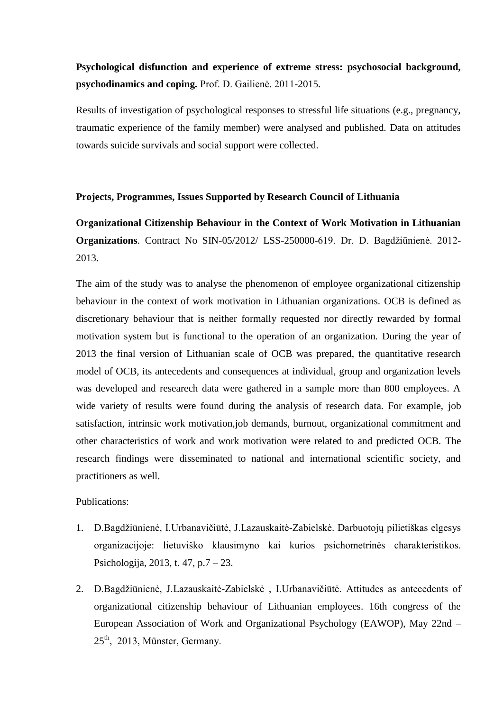# **Psychological disfunction and experience of extreme stress: psychosocial background, psychodinamics and coping.** Prof. D. Gailienė. 2011-2015.

Results of investigation of psychological responses to stressful life situations (e.g., pregnancy, traumatic experience of the family member) were analysed and published. Data on attitudes towards suicide survivals and social support were collected.

#### **Projects, Programmes, Issues Supported by Research Council of Lithuania**

**Organizational Citizenship Behaviour in the Context of Work Motivation in Lithuanian Organizations**. Contract No SIN-05/2012/ LSS-250000-619. Dr. D. Bagdžiūnienė. 2012- 2013.

The aim of the study was to analyse the phenomenon of employee organizational citizenship behaviour in the context of work motivation in Lithuanian organizations. OCB is defined as discretionary behaviour that is neither formally requested nor directly rewarded by formal motivation system but is functional to the operation of an organization. During the year of 2013 the final version of Lithuanian scale of OCB was prepared, the quantitative research model of OCB, its antecedents and consequences at individual, group and organization levels was developed and researech data were gathered in a sample more than 800 employees. A wide variety of results were found during the analysis of research data. For example, job satisfaction, intrinsic work motivation,job demands, burnout, organizational commitment and other characteristics of work and work motivation were related to and predicted OCB. The research findings were disseminated to national and international scientific society, and practitioners as well.

### Publications:

- 1. D.Bagdžiūnienė, I.Urbanavičiūtė, J.Lazauskaitė-Zabielskė. Darbuotojų pilietiškas elgesys organizacijoje: lietuviško klausimyno kai kurios psichometrinės charakteristikos. Psichologija, 2013, t. 47, p.7 – 23.
- 2. D.Bagdžiūnienė, J.Lazauskaitė-Zabielskė , I.Urbanavičiūtė. Attitudes as antecedents of organizational citizenship behaviour of Lithuanian employees. 16th congress of the European Association of Work and Organizational Psychology (EAWOP), May 22nd –  $25<sup>th</sup>$ , 2013, Münster, Germany.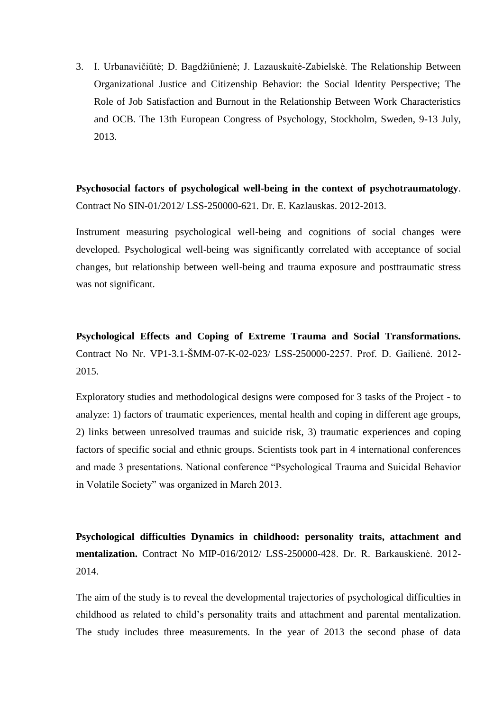3. I. Urbanavičiūtė; D. Bagdžiūnienė; J. Lazauskaitė-Zabielskė. The Relationship Between Organizational Justice and Citizenship Behavior: the Social Identity Perspective; The Role of Job Satisfaction and Burnout in the Relationship Between Work Characteristics and OCB. The 13th European Congress of Psychology, Stockholm, Sweden, 9-13 July, 2013.

**Psychosocial factors of psychological well-being in the context of psychotraumatology**. Contract No SIN-01/2012/ LSS-250000-621. Dr. E. Kazlauskas. 2012-2013.

Instrument measuring psychological well-being and cognitions of social changes were developed. Psychological well-being was significantly correlated with acceptance of social changes, but relationship between well-being and trauma exposure and posttraumatic stress was not significant.

**Psychological Effects and Coping of Extreme Trauma and Social Transformations.** Contract No Nr. VP1-3.1-ŠMM-07-K-02-023/ LSS-250000-2257. Prof. D. Gailienė. 2012- 2015.

Exploratory studies and methodological designs were composed for 3 tasks of the Project - to analyze: 1) factors of traumatic experiences, mental health and coping in different age groups, 2) links between unresolved traumas and suicide risk, 3) traumatic experiences and coping factors of specific social and ethnic groups. Scientists took part in 4 international conferences and made 3 presentations. National conference "Psychological Trauma and Suicidal Behavior in Volatile Society" was organized in March 2013.

**Psychological difficulties Dynamics in childhood: personality traits, attachment and mentalization.** Contract No MIP-016/2012/ LSS-250000-428. Dr. R. Barkauskienė. 2012- 2014.

The aim of the study is to reveal the developmental trajectories of psychological difficulties in childhood as related to child's personality traits and attachment and parental mentalization. The study includes three measurements. In the year of 2013 the second phase of data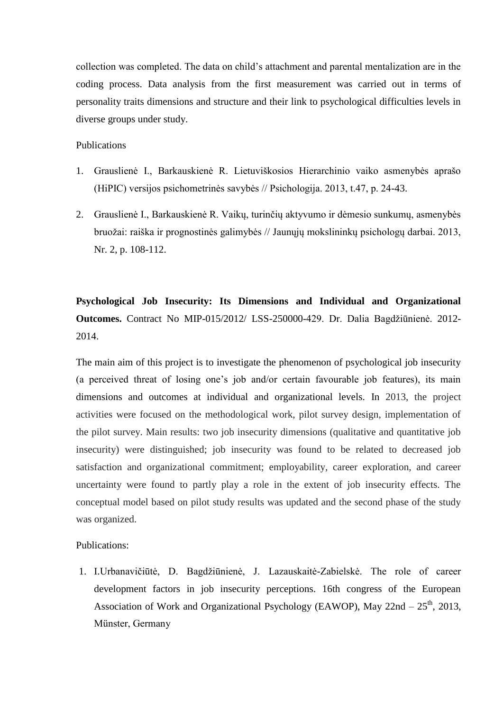collection was completed. The data on child's attachment and parental mentalization are in the coding process. Data analysis from the first measurement was carried out in terms of personality traits dimensions and structure and their link to psychological difficulties levels in diverse groups under study.

#### Publications

- 1. Grauslienė I., Barkauskienė R. Lietuviškosios Hierarchinio vaiko asmenybės aprašo (HiPIC) versijos psichometrinės savybės // Psichologija. 2013, t.47, p. 24-43.
- 2. Grauslienė I., Barkauskienė R. Vaikų, turinčių aktyvumo ir dėmesio sunkumų, asmenybės bruožai: raiška ir prognostinės galimybės // Jaunųjų mokslininkų psichologų darbai. 2013, Nr. 2, p. 108-112.

**Psychological Job Insecurity: Its Dimensions and Individual and Organizational Outcomes.** Contract No MIP-015/2012/ LSS-250000-429. Dr. Dalia Bagdžiūnienė. 2012- 2014.

The main aim of this project is to investigate the phenomenon of psychological job insecurity (a perceived threat of losing one's job and/or certain favourable job features), its main dimensions and outcomes at individual and organizational levels. In 2013, the project activities were focused on the methodological work, pilot survey design, implementation of the pilot survey. Main results: two job insecurity dimensions (qualitative and quantitative job insecurity) were distinguished; job insecurity was found to be related to decreased job satisfaction and organizational commitment; employability, career exploration, and career uncertainty were found to partly play a role in the extent of job insecurity effects. The conceptual model based on pilot study results was updated and the second phase of the study was organized.

### Publications:

1. I.Urbanavičiūtė, D. Bagdžiūnienė, J. Lazauskaitė-Zabielskė. The role of career development factors in job insecurity perceptions. 16th congress of the European Association of Work and Organizational Psychology (EAWOP), May  $22nd - 25<sup>th</sup>$ , 2013, Münster, Germany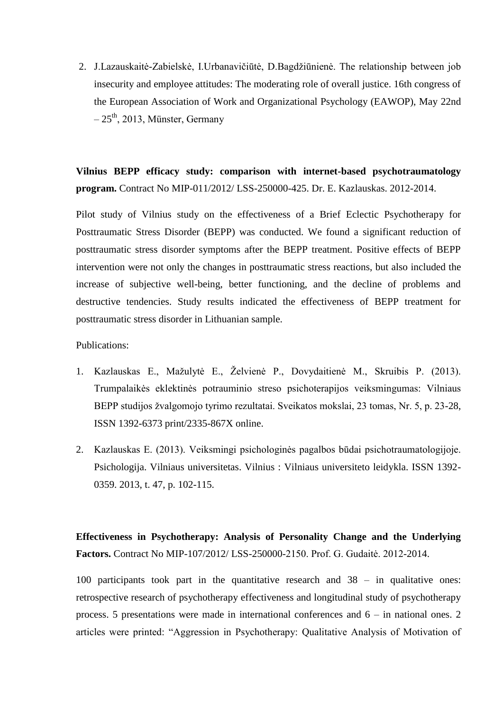2. J.Lazauskaitė-Zabielskė, I.Urbanavičiūtė, D.Bagdžiūnienė. The relationship between job insecurity and employee attitudes: The moderating role of overall justice. 16th congress of the European Association of Work and Organizational Psychology (EAWOP), May 22nd  $-25$ <sup>th</sup>, 2013, Münster, Germany

**Vilnius BEPP efficacy study: comparison with internet-based psychotraumatology program.** Contract No MIP-011/2012/ LSS-250000-425. Dr. E. Kazlauskas. 2012-2014.

Pilot study of Vilnius study on the effectiveness of a Brief Eclectic Psychotherapy for Posttraumatic Stress Disorder (BEPP) was conducted. We found a significant reduction of posttraumatic stress disorder symptoms after the BEPP treatment. Positive effects of BEPP intervention were not only the changes in posttraumatic stress reactions, but also included the increase of subjective well-being, better functioning, and the decline of problems and destructive tendencies. Study results indicated the effectiveness of BEPP treatment for posttraumatic stress disorder in Lithuanian sample.

Publications:

- 1. Kazlauskas E., Mažulytė E., Želvienė P., Dovydaitienė M., Skruibis P. (2013). Trumpalaikės eklektinės potrauminio streso psichoterapijos veiksmingumas: Vilniaus BEPP studijos žvalgomojo tyrimo rezultatai. Sveikatos mokslai, 23 tomas, Nr. 5, p. 23-28, ISSN 1392-6373 print/2335-867X online.
- 2. Kazlauskas E. (2013). Veiksmingi psichologinės pagalbos būdai psichotraumatologijoje. Psichologija. Vilniaus universitetas. Vilnius : Vilniaus universiteto leidykla. ISSN 1392- 0359. 2013, t. 47, p. 102-115.

**Effectiveness in Psychotherapy: Analysis of Personality Change and the Underlying Factors.** Contract No MIP-107/2012/ LSS-250000-2150. Prof. G. Gudaitė. 2012-2014.

100 participants took part in the quantitative research and 38 – in qualitative ones: retrospective research of psychotherapy effectiveness and longitudinal study of psychotherapy process. 5 presentations were made in international conferences and 6 – in national ones. 2 articles were printed: "Aggression in Psychotherapy: Qualitative Analysis of Motivation of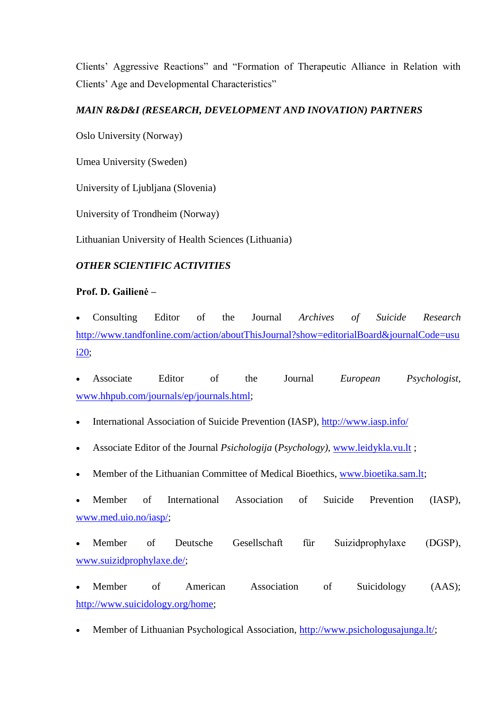Clients' Aggressive Reactions" and "Formation of Therapeutic Alliance in Relation with Clients' Age and Developmental Characteristics"

# *MAIN R&D&I (RESEARCH, DEVELOPMENT AND INOVATION) PARTNERS*

Oslo University (Norway)

Umea University (Sweden)

University of Ljubljana (Slovenia)

University of Trondheim (Norway)

Lithuanian University of Health Sciences (Lithuania)

# *OTHER SCIENTIFIC ACTIVITIES*

# **Prof. D. Gailienė –**

 Consulting Editor of the Journal *Archives of Suicide Research*  http://www.tandfonline.com/action/aboutThisJournal?show=editorialBoard&journalCode=usu i20;

 Associate Editor of the Journal *European Psychologist,* [www.hhpub.com/journals/ep/journals.html;](http://www.hhpub.com/journals/ep/journals.html)

- International Association of Suicide Prevention (IASP),<http://www.iasp.info/>
- Associate Editor of the Journal *Psichologija* (*Psychology)*, [www.leidykla.vu.lt](http://www.leidykla.vu.lt/) ;
- Member of the Lithuanian Committee of Medical Bioethics, [www.bioetika.sam.lt;](http://www.bioetika.sam.lt/)
- Member of International Association of Suicide Prevention (IASP), [www.med.uio.no/iasp/;](http://www.med.uio.no/iasp/)

 Member of Deutsche Gesellschaft für Suizidprophylaxe (DGSP), [www.suizidprophylaxe.de/;](http://www.suizidprophylaxe.de/)

- Member of American Association of Suicidology (AAS); [http://www.suicidology.org/home;](http://www.suicidology.org/home)
- Member of Lithuanian Psychological Association, [http://www.psichologusajunga.lt/;](http://www.psichologusajunga.lt/)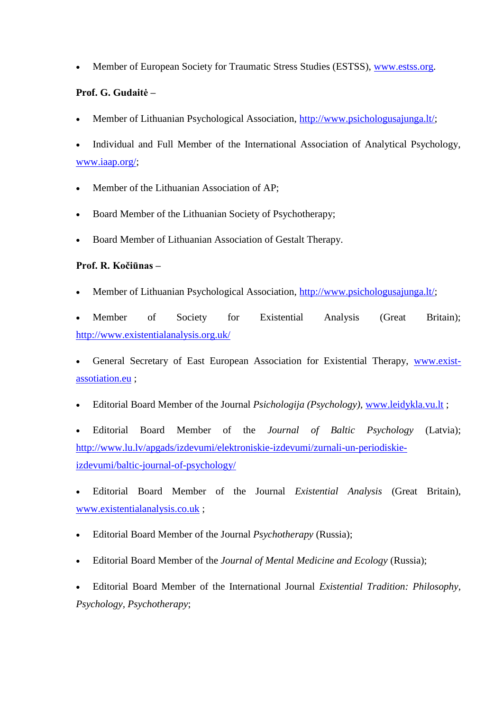• Member of European Society for Traumatic Stress Studies (ESTSS), [www.estss.org.](http://www.estss.org/)

# **Prof. G. Gudaitė –**

- Member of Lithuanian Psychological Association, [http://www.psichologusajunga.lt/;](http://www.psichologusajunga.lt/)
- Individual and Full Member of the International Association of Analytical Psychology, [www.iaap.org/;](http://www.iaap.org/)
- Member of the Lithuanian Association of AP;
- Board Member of the Lithuanian Society of Psychotherapy;
- Board Member of Lithuanian Association of Gestalt Therapy.

# **Prof. R. Kočiūnas –**

- Member of Lithuanian Psychological Association, [http://www.psichologusajunga.lt/;](http://www.psichologusajunga.lt/)
- Member of Society for Existential Analysis (Great Britain); <http://www.existentialanalysis.org.uk/>
- General Secretary of East European Association for Existential Therapy, [www.exist](http://www.exist-assotiation.eu/)[assotiation.eu](http://www.exist-assotiation.eu/) ;
- Editorial Board Member of the Journal *Psichologija (Psychology),* [www.leidykla.vu.lt](http://www.leidykla.vu.lt/) ;

 Editorial Board Member of the *Journal of Baltic Psychology* (Latvia); [http://www.lu.lv/apgads/izdevumi/elektroniskie-izdevumi/zurnali-un-periodiskie](http://www.lu.lv/apgads/izdevumi/elektroniskie-izdevumi/zurnali-un-periodiskie-izdevumi/baltic-journal-of-psychology/)[izdevumi/baltic-journal-of-psychology/](http://www.lu.lv/apgads/izdevumi/elektroniskie-izdevumi/zurnali-un-periodiskie-izdevumi/baltic-journal-of-psychology/)

 Editorial Board Member of the Journal *Existential Analysis* (Great Britain), [www.existentialanalysis.co.uk](http://www.existentialanalysis.co.uk/) ;

- Editorial Board Member of the Journal *Psychotherapy* (Russia);
- Editorial Board Member of the *Journal of Mental Medicine and Ecology* (Russia);

 Editorial Board Member of the International Journal *Existential Tradition: Philosophy, Psychology, Psychotherapy*;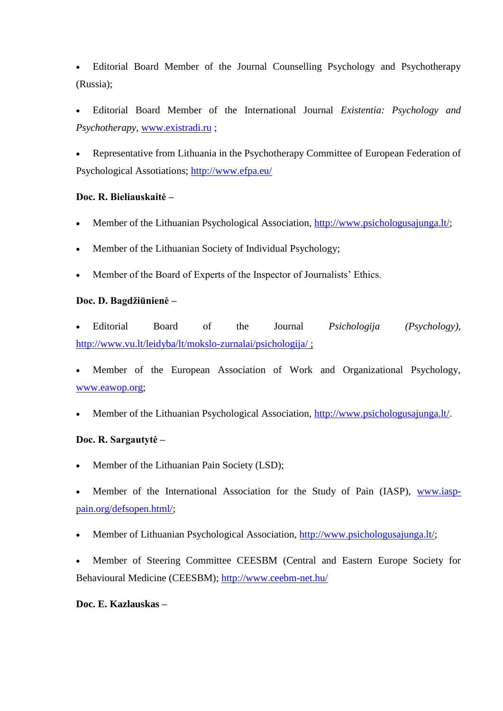Editorial Board Member of the Journal Counselling Psychology and Psychotherapy (Russia);

 Editorial Board Member of the International Journal *Existentia: Psychology and Psychotherapy,* [www.existradi.ru](http://www.existradi.ru/) ;

 Representative from Lithuania in the Psychotherapy Committee of European Federation of Psychological Assotiations; <http://www.efpa.eu/>

## **Doc. R. Bieliauskaitė –**

- Member of the Lithuanian Psychological Association, [http://www.psichologusajunga.lt/;](http://www.psichologusajunga.lt/)
- Member of the Lithuanian Society of Individual Psychology;
- Member of the Board of Experts of the Inspector of Journalists' Ethics.

### **Doc. D. Bagdžiūnienė –**

 Editorial Board of the Journal *Psichologija (Psychology),*  <http://www.vu.lt/leidyba/lt/mokslo-zurnalai/psichologija/> ;

- Member of the European Association of Work and Organizational Psychology, [www.eawop.org;](http://www.eawop.org/)
- Member of the Lithuanian Psychological Association, [http://www.psichologusajunga.lt/.](http://www.psichologusajunga.lt/)

## **Doc. R. Sargautytė –**

- Member of the Lithuanian Pain Society (LSD);
- Member of the International Association for the Study of Pain (IASP), [www.iasp](http://www.iasp-pain.org/defsopen.html/)[pain.org/defsopen.html/;](http://www.iasp-pain.org/defsopen.html/)
- Member of Lithuanian Psychological Association, [http://www.psichologusajunga.lt/;](http://www.psichologusajunga.lt/)
- Member of Steering Committee CEESBM (Central and Eastern Europe Society for Behavioural Medicine (CEESBM);<http://www.ceebm-net.hu/>

## **Doc. E. Kazlauskas –**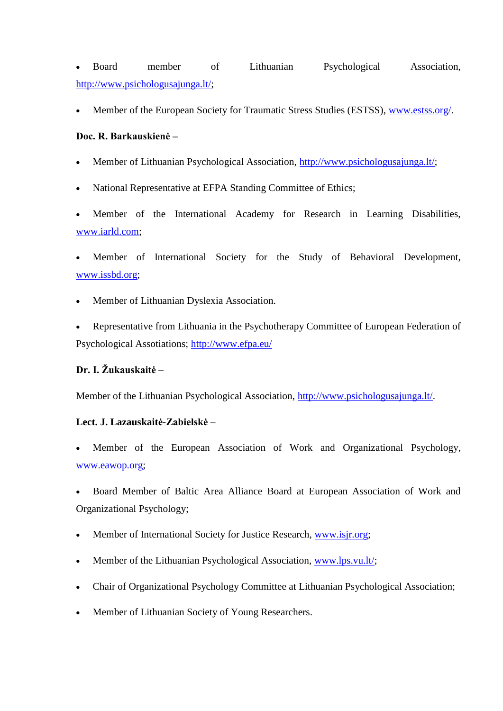Board member of Lithuanian Psychological Association, [http://www.psichologusajunga.lt/;](http://www.psichologusajunga.lt/)

Member of the European Society for Traumatic Stress Studies (ESTSS), [www.estss.org/.](http://www.estss.org/)

## **Doc. R. Barkauskienė –**

- Member of Lithuanian Psychological Association, [http://www.psichologusajunga.lt/;](http://www.psichologusajunga.lt/)
- National Representative at EFPA Standing Committee of Ethics;
- Member of the International Academy for Research in Learning Disabilities, [www.iarld.com;](http://www.iarld.com/)
- Member of International Society for the Study of Behavioral Development, [www.issbd.org;](http://www.issbd.org/)
- Member of Lithuanian Dyslexia Association.
- Representative from Lithuania in the Psychotherapy Committee of European Federation of Psychological Assotiations;<http://www.efpa.eu/>

# **Dr. I. Žukauskaitė –**

Member of the Lithuanian Psychological Association, [http://www.psichologusajunga.lt/.](http://www.psichologusajunga.lt/)

### **Lect. J. Lazauskaitė-Zabielskė –**

- Member of the European Association of Work and Organizational Psychology, [www.eawop.org;](http://www.eawop.org/)
- Board Member of Baltic Area Alliance Board at European Association of Work and Organizational Psychology;
- Member of International Society for Justice Research, [www.isjr.org;](http://www.isjr.org/)
- Member of the Lithuanian Psychological Association, [www.lps.vu.lt/;](http://www.lps.vu.lt/)
- Chair of Organizational Psychology Committee at Lithuanian Psychological Association;
- Member of Lithuanian Society of Young Researchers.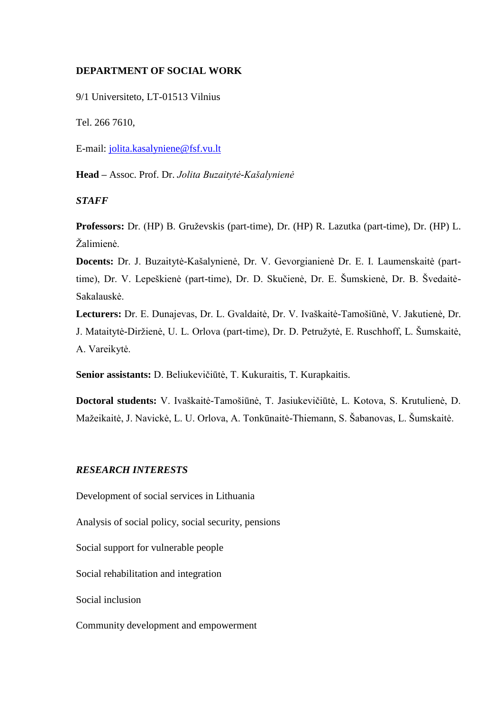### **DEPARTMENT OF SOCIAL WORK**

9/1 Universiteto, LT-01513 Vilnius

Tel. 266 7610,

E-mail: [jolita.kasalyniene@fsf.vu.lt](mailto:jolita.kasalyniene@fsf.vu.lt)

**Head –** Assoc. Prof. Dr. *Jolita Buzaitytė-Kašalynienė*

#### *STAFF*

**Professors:** Dr. (HP) B. Gruževskis (part-time), Dr. (HP) R. Lazutka (part-time), Dr. (HP) L. Žalimienė.

**Docents:** Dr. J. Buzaitytė-Kašalynienė, Dr. V. Gevorgianienė Dr. E. I. Laumenskaitė (parttime), Dr. V. Lepeškienė (part-time), Dr. D. Skučienė, Dr. E. Šumskienė, Dr. B. Švedaitė-Sakalauskė.

**Lecturers:** Dr. E. Dunajevas, Dr. L. Gvaldaitė, Dr. V. Ivaškaitė-Tamošiūnė, V. Jakutienė, Dr. J. Mataitytė-Diržienė, U. L. Orlova (part-time), Dr. D. Petružytė, E. Ruschhoff, L. Šumskaitė, A. Vareikytė.

**Senior assistants:** D. Beliukevičiūtė, T. Kukuraitis, T. Kurapkaitis.

**Doctoral students:** V. Ivaškaitė-Tamošiūnė, T. Jasiukevičiūtė, L. Kotova, S. Krutulienė, D. Mažeikaitė, J. Navickė, L. U. Orlova, A. Tonkūnaitė-Thiemann, S. Šabanovas, L. Šumskaitė.

## *RESEARCH INTERESTS*

Development of social services in Lithuania

Analysis of social policy, social security, pensions

Social support for vulnerable people

Social rehabilitation and integration

Social inclusion

Community development and empowerment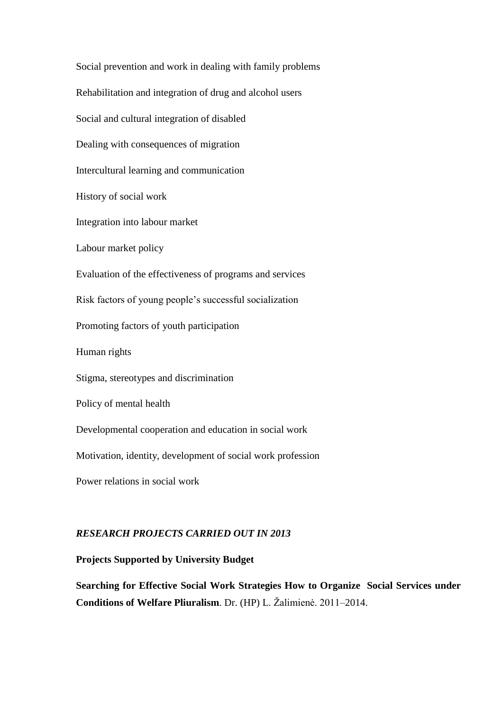Social prevention and work in dealing with family problems Rehabilitation and integration of drug and alcohol users Social and cultural integration of disabled Dealing with consequences of migration Intercultural learning and communication History of social work Integration into labour market Labour market policy Evaluation of the effectiveness of programs and services Risk factors of young people's successful socialization Promoting factors of youth participation Human rights Stigma, stereotypes and discrimination Policy of mental health Developmental cooperation and education in social work Motivation, identity, development of social work profession Power relations in social work

### *RESEARCH PROJECTS CARRIED OUT IN 2013*

### **Projects Supported by University Budget**

**Searching for Effective Social Work Strategies How to Organize Social Services under Conditions of Welfare Pliuralism**. Dr. (HP) L. Žalimienė. 2011–2014.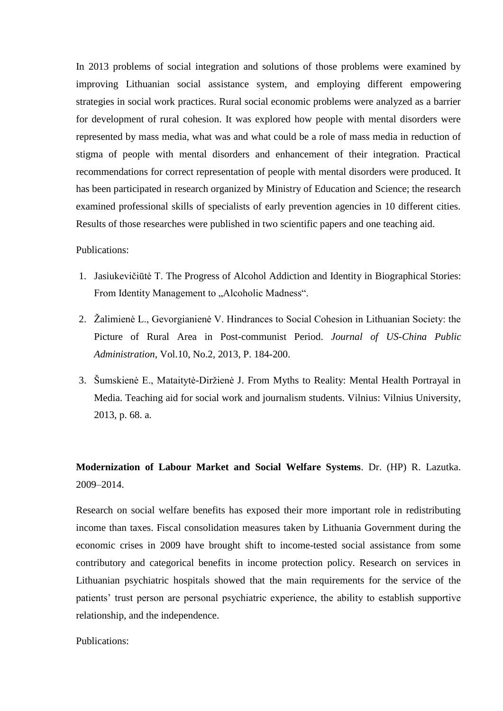In 2013 problems of social integration and solutions of those problems were examined by improving Lithuanian social assistance system, and employing different empowering strategies in social work practices. Rural social economic problems were analyzed as a barrier for development of rural cohesion. It was explored how people with mental disorders were represented by mass media, what was and what could be a role of mass media in reduction of stigma of people with mental disorders and enhancement of their integration. Practical recommendations for correct representation of people with mental disorders were produced. It has been participated in research organized by Ministry of Education and Science; the research examined professional skills of specialists of early prevention agencies in 10 different cities. Results of those researches were published in two scientific papers and one teaching aid.

### Publications:

- 1. Jasiukevičiūtė T. The Progress of Alcohol Addiction and Identity in Biographical Stories: From Identity Management to "Alcoholic Madness".
- 2. Žalimienė L., Gevorgianienė V. Hindrances to Social Cohesion in Lithuanian Society: the Picture of Rural Area in Post-communist Period. *Journal of US-China Public Administration*, Vol.10, No.2, 2013, P. 184-200.
- 3. Šumskienė E., Mataitytė-Diržienė J. From Myths to Reality: Mental Health Portrayal in Media. Teaching aid for social work and journalism students. Vilnius: Vilnius University, 2013, p. 68. a.

# **Modernization of Labour Market and Social Welfare Systems**. Dr. (HP) R. Lazutka. 2009–2014.

Research on social welfare benefits has exposed their more important role in redistributing income than taxes. Fiscal consolidation measures taken by Lithuania Government during the economic crises in 2009 have brought shift to income-tested social assistance from some contributory and categorical benefits in income protection policy. Research on services in Lithuanian psychiatric hospitals showed that the main requirements for the service of the patients' trust person are personal psychiatric experience, the ability to establish supportive relationship, and the independence.

Publications: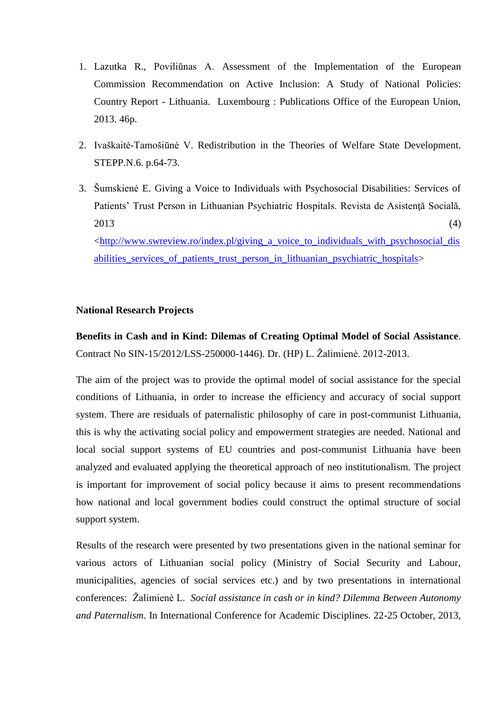- 1. Lazutka R., Poviliūnas A. Assessment of the Implementation of the European Commission Recommendation on Active Inclusion: A Study of National Policies: Country Report - Lithuania. Luxembourg : Publications Office of the European Union, 2013. 46p.
- 2. Ivaškaitė-Tamošiūnė V. Redistribution in the Theories of Welfare State Development. STEPP.N.6. p.64-73.
- 3. Šumskienė E. Giving a Voice to Individuals with Psychosocial Disabilities: Services of Patients' Trust Person in Lithuanian Psychiatric Hospitals. Revista de Asistenţă Socială,  $2013$  (4) [<http://www.swreview.ro/index.pl/giving\\_a\\_voice\\_to\\_individuals\\_with\\_psychosocial\\_dis](http://www.swreview.ro/index.pl/giving_a_voice_to_individuals_with_psychosocial_disabilities_services_of_patients_trust_person_in_lithuanian_psychiatric_hospitals) [abilities\\_services\\_of\\_patients\\_trust\\_person\\_in\\_lithuanian\\_psychiatric\\_hospitals>](http://www.swreview.ro/index.pl/giving_a_voice_to_individuals_with_psychosocial_disabilities_services_of_patients_trust_person_in_lithuanian_psychiatric_hospitals)

### **National Research Projects**

**Benefits in Cash and in Kind: Dilemas of Creating Optimal Model of Social Assistance**. Contract No SIN-15/2012/LSS-250000-1446). Dr. (HP) L. Žalimienė. 2012-2013.

The aim of the project was to provide the optimal model of social assistance for the special conditions of Lithuania, in order to increase the efficiency and accuracy of social support system. There are residuals of paternalistic philosophy of care in post-communist Lithuania, this is why the activating social policy and empowerment strategies are needed. National and local social support systems of EU countries and post-communist Lithuania have been analyzed and evaluated applying the theoretical approach of neo institutionalism. The project is important for improvement of social policy because it aims to present recommendations how national and local government bodies could construct the optimal structure of social support system.

Results of the research were presented by two presentations given in the national seminar for various actors of Lithuanian social policy (Ministry of Social Security and Labour, municipalities, agencies of social services etc.) and by two presentations in international conferences: Žalimienė L. *Social assistance in cash or in kind? Dilemma Between Autonomy and Paternalism*. In International Conference for Academic Disciplines. 22-25 October, 2013,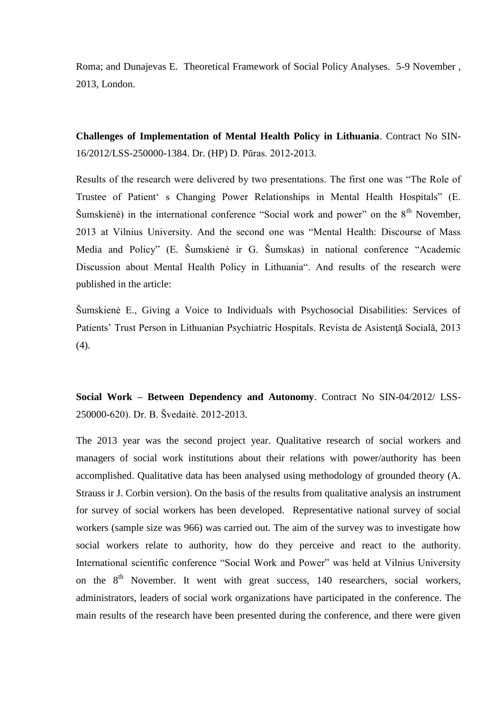Roma; and Dunajevas E. Theoretical Framework of Social Policy Analyses. 5-9 November , 2013, London.

**Challenges of Implementation of Mental Health Policy in Lithuania**. Contract No SIN-16/2012/LSS-250000-1384. Dr. (HP) D. Pūras. 2012-2013.

Results of the research were delivered by two presentations. The first one was "The Role of Trustee of Patient' s Changing Power Relationships in Mental Health Hospitals" (E. Šumskienė) in the international conference "Social work and power" on the  $8<sup>th</sup>$  November, 2013 at Vilnius University. And the second one was "Mental Health: Discourse of Mass Media and Policy" (E. Šumskienė ir G. Šumskas) in national conference "Academic Discussion about Mental Health Policy in Lithuania". And results of the research were published in the article:

Šumskienė E., [Giving a Voice to Individuals with Psychosocial Disabilities: Services of](http://www.swreview.ro/index.pl/giving_a_voice_to_individuals_with_psychosocial_disabilities_services_of_patients_trust_person_in_lithuanian_psychiatric_hospitals)  [Patients' Trust Person in Lithuanian Psychiatric Hospitals.](http://www.swreview.ro/index.pl/giving_a_voice_to_individuals_with_psychosocial_disabilities_services_of_patients_trust_person_in_lithuanian_psychiatric_hospitals) Revista de Asistenţă Socială, 2013 (4).

**Social Work – Between Dependency and Autonomy**. Contract No SIN-04/2012/ LSS-250000-620). Dr. B. Švedaitė. 2012-2013.

The 2013 year was the second project year. Qualitative research of social workers and managers of social work institutions about their relations with power/authority has been accomplished. Qualitative data has been analysed using methodology of grounded theory (A. Strauss ir J. Corbin version). On the basis of the results from qualitative analysis an instrument for survey of social workers has been developed. Representative national survey of social workers (sample size was 966) was carried out. The aim of the survey was to investigate how social workers relate to authority, how do they perceive and react to the authority. International scientific conference "Social Work and Power" was held at Vilnius University on the  $8<sup>th</sup>$  November. It went with great success, 140 researchers, social workers, administrators, leaders of social work organizations have participated in the conference. The main results of the research have been presented during the conference, and there were given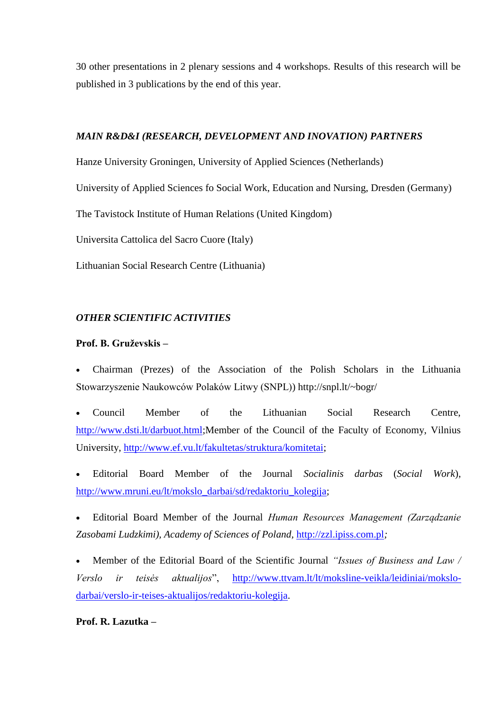30 other presentations in 2 plenary sessions and 4 workshops. Results of this research will be published in 3 publications by the end of this year.

### *MAIN R&D&I (RESEARCH, DEVELOPMENT AND INOVATION) PARTNERS*

Hanze University Groningen, University of Applied Sciences (Netherlands)

University of Applied Sciences fo Social Work, Education and Nursing, Dresden (Germany)

The Tavistock Institute of Human Relations (United Kingdom)

Universita Cattolica del Sacro Cuore (Italy)

Lithuanian Social Research Centre (Lithuania)

## *OTHER SCIENTIFIC ACTIVITIES*

### **Prof. B. Gruževskis –**

 Chairman (Prezes) of the Association of the Polish Scholars in the Lithuania Stowarzyszenie Naukowców Polaków Litwy (SNPL)) http://snpl.lt/~bogr/

 Council Member of the Lithuanian Social Research Centre, [http://www.dsti.lt/darbuot.html;](http://www.dsti.lt/darbuot.html)Member of the Council of the Faculty of Economy, Vilnius University, http://www.ef.vu.lt/fakultetas/struktura/komitetai;

 Editorial Board Member of the Journal *Socialinis darbas* (*Social Work*), http://www.mruni.eu/lt/mokslo\_darbai/sd/redaktoriu\_kolegija;

 Editorial Board Member of the Journal *Human Resources Management (Zarządzanie Zasobami Ludzkimi), Academy of Sciences of Poland,* http://zzl.ipiss.com.pl*;*

 Member of the Editorial Board of the Scientific Journal *"Issues of Business and Law / Verslo ir teisės aktualijos*", [http://www.ttvam.lt/lt/moksline-veikla/leidiniai/mokslo](http://www.ttvam.lt/lt/moksline-veikla/leidiniai/mokslo-darbai/verslo-ir-teises-aktualijos/redaktoriu-kolegija)[darbai/verslo-ir-teises-aktualijos/redaktoriu-kolegija.](http://www.ttvam.lt/lt/moksline-veikla/leidiniai/mokslo-darbai/verslo-ir-teises-aktualijos/redaktoriu-kolegija)

**Prof. R. Lazutka –**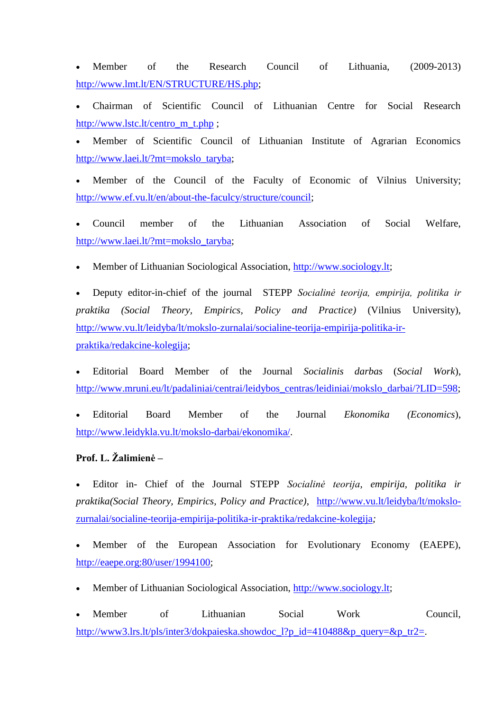Member of the Research Council of Lithuania, (2009-2013) [http://www.lmt.lt/EN/STRUCTURE/HS.php;](http://www.lmt.lt/EN/STRUCTURE/HS.php)

 Chairman of Scientific Council of Lithuanian Centre for Social Research [http://www.lstc.lt/centro\\_m\\_t.php](http://www.lstc.lt/centro_m_t.php) ;

 Member of Scientific Council of Lithuanian Institute of Agrarian Economics [http://www.laei.lt/?mt=mokslo\\_taryba;](http://www.laei.lt/?mt=mokslo_taryba)

 Member of the Council of the Faculty of Economic of Vilnius University; [http://www.ef.vu.lt/en/about-the-faculcy/structure/council;](http://www.ef.vu.lt/en/about-the-faculcy/structure/council)

 Council member of the Lithuanian Association of Social Welfare, [http://www.laei.lt/?mt=mokslo\\_taryba;](http://www.laei.lt/?mt=mokslo_taryba)

Member of Lithuanian Sociological Association, [http://www.sociology.lt;](http://www.sociology.lt/)

 Deputy editor-in-chief of the journal STEPP *Socialinė teorija, empirija, politika ir praktika (Social Theory, Empirics, Policy and Practice)* (Vilnius University), [http://www.vu.lt/leidyba/lt/mokslo-zurnalai/socialine-teorija-empirija-politika-ir](http://www.vu.lt/leidyba/lt/mokslo-zurnalai/socialine-teorija-empirija-politika-ir-praktika/redakcine-kolegija)[praktika/redakcine-kolegija;](http://www.vu.lt/leidyba/lt/mokslo-zurnalai/socialine-teorija-empirija-politika-ir-praktika/redakcine-kolegija)

 Editorial Board Member of the Journal *Socialinis darbas* (*Social Work*), [http://www.mruni.eu/lt/padaliniai/centrai/leidybos\\_centras/leidiniai/mokslo\\_darbai/?LID=598;](http://www.mruni.eu/lt/padaliniai/centrai/leidybos_centras/leidiniai/mokslo_darbai/?LID=598)

 Editorial Board Member of the Journal *Ekonomika (Economics*), http://www.leidykla.vu.lt/mokslo-darbai/ekonomika/.

# **Prof. L. Žalimienė –**

 Editor in- Chief of the Journal STEPP *Socialinė teorija, empirija, politika ir praktika(Social Theory, Empirics, Policy and Practice)*, [http://www.vu.lt/leidyba/lt/mokslo](http://www.vu.lt/leidyba/lt/mokslo-zurnalai/socialine-teorija-empirija-politika-ir-praktika/redakcine-kolegija)[zurnalai/socialine-teorija-empirija-politika-ir-praktika/redakcine-kolegija](http://www.vu.lt/leidyba/lt/mokslo-zurnalai/socialine-teorija-empirija-politika-ir-praktika/redakcine-kolegija)*;*

 Member of the European Association for Evolutionary Economy (EAEPE), [http://eaepe.org:80/user/1994100;](http://eaepe.org/user/1994100)

Member of Lithuanian Sociological Association, [http://www.sociology.lt;](http://www.sociology.lt/)

• Member of Lithuanian Social Work Council, [http://www3.lrs.lt/pls/inter3/dokpaieska.showdoc\\_l?p\\_id=410488&p\\_query=&p\\_tr2=.](http://www3.lrs.lt/pls/inter3/dokpaieska.showdoc_l?p_id=410488&p_query=&p_tr2=)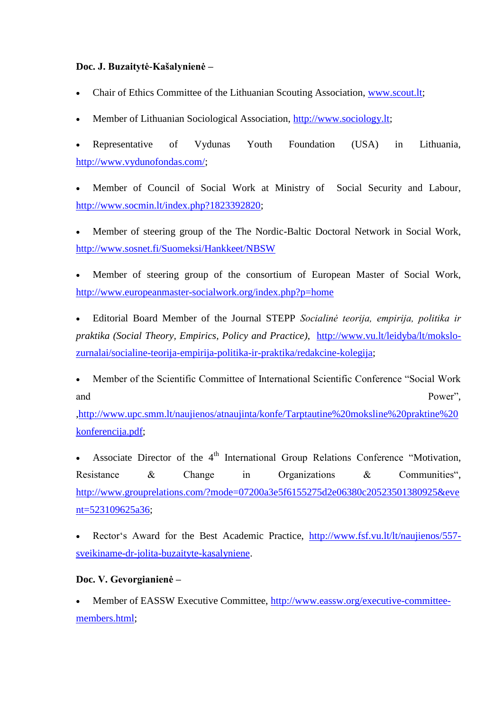## **Doc. J. Buzaitytė-Kašalynienė –**

- Chair of Ethics Committee of the Lithuanian Scouting Association, www.scout.lt;
- Member of Lithuanian Sociological Association, http://www.sociology.lt;

 Representative of Vydunas Youth Foundation (USA) in Lithuania, [http://www.vydunofondas.com/;](http://www.vydunofondas.com/)

 Member of Council of Social Work at Ministry of Social Security and Labour, [http://www.socmin.lt/index.php?1823392820;](http://www.socmin.lt/index.php?1823392820)

 Member of steering group of the The Nordic-Baltic Doctoral Network in Social Work, <http://www.sosnet.fi/Suomeksi/Hankkeet/NBSW>

 Member of steering group of the consortium of European Master of Social Work, <http://www.europeanmaster-socialwork.org/index.php?p=home>

 Editorial Board Member of the Journal STEPP *Socialinė teorija, empirija, politika ir praktika (Social Theory, Empirics, Policy and Practice)*, [http://www.vu.lt/leidyba/lt/mokslo](http://www.vu.lt/leidyba/lt/mokslo-zurnalai/socialine-teorija-empirija-politika-ir-praktika/redakcine-kolegija)[zurnalai/socialine-teorija-empirija-politika-ir-praktika/redakcine-kolegija;](http://www.vu.lt/leidyba/lt/mokslo-zurnalai/socialine-teorija-empirija-politika-ir-praktika/redakcine-kolegija)

 Member of the Scientific Committee of International Scientific Conference "Social Work and Power",

[,http://www.upc.smm.lt/naujienos/atnaujinta/konfe/Tarptautine%20moksline%20praktine%20](http://www.upc.smm.lt/naujienos/atnaujinta/konfe/Tarptautine%20moksline%20praktine%20konferencija.pdf) [konferencija.pdf;](http://www.upc.smm.lt/naujienos/atnaujinta/konfe/Tarptautine%20moksline%20praktine%20konferencija.pdf)

Associate Director of the 4<sup>th</sup> International Group Relations Conference "Motivation, Resistance & Change in Organizations & Communities", [http://www.grouprelations.com/?mode=07200a3e5f6155275d2e06380c20523501380925&eve](http://www.grouprelations.com/?mode=07200a3e5f6155275d2e06380c20523501380925&event=523109625a36) [nt=523109625a36;](http://www.grouprelations.com/?mode=07200a3e5f6155275d2e06380c20523501380925&event=523109625a36)

 Rector's Award for the Best Academic Practice, [http://www.fsf.vu.lt/lt/naujienos/557](http://www.fsf.vu.lt/lt/naujienos/557-sveikiname-dr-jolita-buzaityte-kasalyniene) [sveikiname-dr-jolita-buzaityte-kasalyniene.](http://www.fsf.vu.lt/lt/naujienos/557-sveikiname-dr-jolita-buzaityte-kasalyniene)

# **Doc. V. Gevorgianienė –**

 Member of EASSW Executive Committee, [http://www.eassw.org/executive-committee](http://www.eassw.org/executive-committee-members.html)[members.html;](http://www.eassw.org/executive-committee-members.html)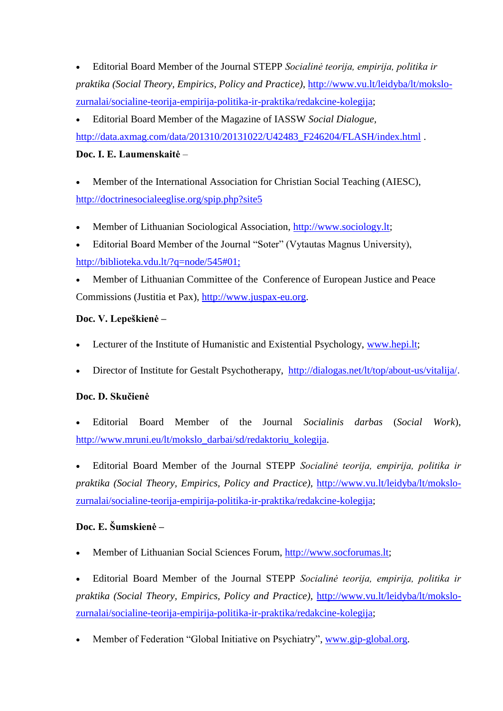Editorial Board Member of the Journal STEPP *Socialinė teorija, empirija, politika ir praktika (Social Theory, Empirics, Policy and Practice)*, [http://www.vu.lt/leidyba/lt/mokslo](http://www.vu.lt/leidyba/lt/mokslo-zurnalai/socialine-teorija-empirija-politika-ir-praktika/redakcine-kolegija)[zurnalai/socialine-teorija-empirija-politika-ir-praktika/redakcine-kolegija;](http://www.vu.lt/leidyba/lt/mokslo-zurnalai/socialine-teorija-empirija-politika-ir-praktika/redakcine-kolegija)

 Editorial Board Member of the Magazine of IASSW *Social Dialogue,*  [http://data.axmag.com/data/201310/20131022/U42483\\_F246204/FLASH/index.html](http://data.axmag.com/data/201310/20131022/U42483_F246204/FLASH/index.html) .

# **Doc. I. E. Laumenskaitė** –

 Member of the International Association for Christian Social Teaching (AIESC), <http://doctrinesocialeeglise.org/spip.php?site5>

- Member of Lithuanian Sociological Association, [http://www.sociology.lt;](http://www.sociology.lt/)
- Editorial Board Member of the Journal "Soter" (Vytautas Magnus University), http://biblioteka.vdu.lt/?q=node/545#01;
- Member of Lithuanian Committee of the Conference of European Justice and Peace Commissions (Justitia et Pax), [http://www.juspax-eu.org.](http://www.juspax-eu.org/)

# **Doc. V. Lepeškienė –**

- Lecturer of the Institute of Humanistic and Existential Psychology, [www.hepi.lt;](http://www.hepi.lt/)
- Director of Institute for Gestalt Psychotherapy, <http://dialogas.net/lt/top/about-us/vitalija/>.

# **Doc. D. Skučienė**

 Editorial Board Member of the Journal *Socialinis darbas* (*Social Work*), [http://www.mruni.eu/lt/mokslo\\_darbai/sd/redaktoriu\\_kolegija.](http://www.mruni.eu/lt/mokslo_darbai/sd/redaktoriu_kolegija)

 Editorial Board Member of the Journal STEPP *Socialinė teorija, empirija, politika ir praktika (Social Theory, Empirics, Policy and Practice)*, [http://www.vu.lt/leidyba/lt/mokslo](http://www.vu.lt/leidyba/lt/mokslo-zurnalai/socialine-teorija-empirija-politika-ir-praktika/redakcine-kolegija)[zurnalai/socialine-teorija-empirija-politika-ir-praktika/redakcine-kolegija;](http://www.vu.lt/leidyba/lt/mokslo-zurnalai/socialine-teorija-empirija-politika-ir-praktika/redakcine-kolegija)

# **Doc. E. Šumskienė –**

Member of Lithuanian Social Sciences Forum, [http://www.socforumas.lt;](http://www.socforumas.lt/)

 Editorial Board Member of the Journal STEPP *Socialinė teorija, empirija, politika ir praktika (Social Theory, Empirics, Policy and Practice)*, [http://www.vu.lt/leidyba/lt/mokslo](http://www.vu.lt/leidyba/lt/mokslo-zurnalai/socialine-teorija-empirija-politika-ir-praktika/redakcine-kolegija)[zurnalai/socialine-teorija-empirija-politika-ir-praktika/redakcine-kolegija;](http://www.vu.lt/leidyba/lt/mokslo-zurnalai/socialine-teorija-empirija-politika-ir-praktika/redakcine-kolegija)

Member of Federation "Global Initiative on Psychiatry", [www.gip-global.org.](http://www.gip-global.org/)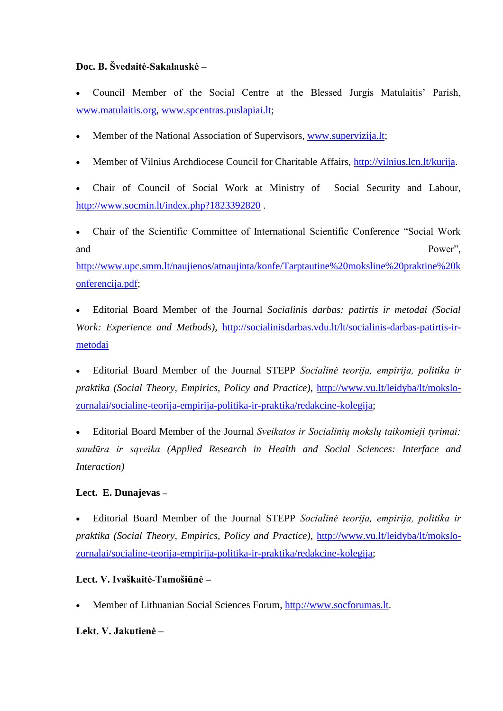# **Doc. B. Švedaitė-Sakalauskė –**

- Council Member of the Social Centre at the Blessed Jurgis Matulaitis' Parish, [www.matulaitis.org,](http://www.matulaitis.org/) [www.spcentras.puslapiai.lt;](http://www.spcentras.puslapiai.lt/)
- Member of the National Association of Supervisors, [www.supervizija.lt;](http://www.supervizija.lt/)
- Member of Vilnius Archdiocese Council for Charitable Affairs, [http://vilnius.lcn.lt/kurija.](http://vilnius.lcn.lt/kurija)
- Chair of Council of Social Work at Ministry of Social Security and Labour, <http://www.socmin.lt/index.php?1823392820> .
- Chair of the Scientific Committee of International Scientific Conference "Social Work and Power",

[http://www.upc.smm.lt/naujienos/atnaujinta/konfe/Tarptautine%20moksline%20praktine%20k](http://www.upc.smm.lt/naujienos/atnaujinta/konfe/Tarptautine%20moksline%20praktine%20konferencija.pdf) [onferencija.pdf;](http://www.upc.smm.lt/naujienos/atnaujinta/konfe/Tarptautine%20moksline%20praktine%20konferencija.pdf)

 Editorial Board Member of the Journal *Socialinis darbas: patirtis ir metodai (Social Work: Experience and Methods)*, [http://socialinisdarbas.vdu.lt/lt/socialinis-darbas-patirtis-ir](http://socialinisdarbas.vdu.lt/lt/socialinis-darbas-patirtis-ir-metodai)[metodai](http://socialinisdarbas.vdu.lt/lt/socialinis-darbas-patirtis-ir-metodai)

 Editorial Board Member of the Journal STEPP *Socialinė teorija, empirija, politika ir praktika (Social Theory, Empirics, Policy and Practice),* [http://www.vu.lt/leidyba/lt/mokslo](http://www.vu.lt/leidyba/lt/mokslo-zurnalai/socialine-teorija-empirija-politika-ir-praktika/redakcine-kolegija)[zurnalai/socialine-teorija-empirija-politika-ir-praktika/redakcine-kolegija;](http://www.vu.lt/leidyba/lt/mokslo-zurnalai/socialine-teorija-empirija-politika-ir-praktika/redakcine-kolegija)

 Editorial Board Member of the Journal *Sveikatos ir Socialinių mokslų taikomieji tyrimai: sandūra ir sąveika (Applied Research in Health and Social Sciences: Interface and Interaction)*

## **Lect. E. Dunajevas –**

 Editorial Board Member of the Journal STEPP *Socialinė teorija, empirija, politika ir praktika (Social Theory, Empirics, Policy and Practice)*, [http://www.vu.lt/leidyba/lt/mokslo](http://www.vu.lt/leidyba/lt/mokslo-zurnalai/socialine-teorija-empirija-politika-ir-praktika/redakcine-kolegija)[zurnalai/socialine-teorija-empirija-politika-ir-praktika/redakcine-kolegija;](http://www.vu.lt/leidyba/lt/mokslo-zurnalai/socialine-teorija-empirija-politika-ir-praktika/redakcine-kolegija)

## **Lect. V. Ivaškaitė-Tamošiūnė –**

Member of Lithuanian Social Sciences Forum, [http://www.socforumas.lt.](http://www.socforumas.lt/)

## **Lekt. V. Jakutienė –**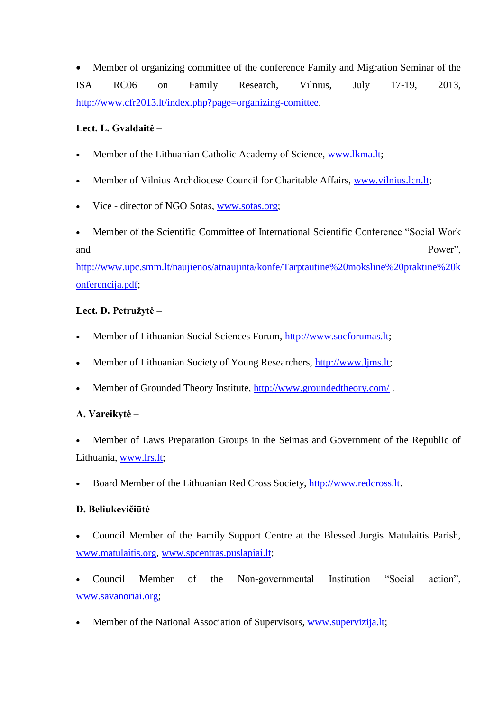Member of organizing committee of the conference Family and Migration Seminar of the ISA RC06 on Family Research, Vilnius, July 17-19, 2013, [http://www.cfr2013.lt/index.php?page=organizing-comittee.](http://www.cfr2013.lt/index.php?page=organizing-comittee)

## **Lect. L. Gvaldaitė –**

- Member of the Lithuanian Catholic Academy of Science, [www.lkma.lt;](http://www.lkma.lt/)
- Member of Vilnius Archdiocese Council for Charitable Affairs, [www.vilnius.lcn.lt;](http://www.vilnius.lcn.lt/)
- Vice director of NGO Sotas, [www.sotas.org;](http://www.sotas.org/)
- Member of the Scientific Committee of International Scientific Conference "Social Work and Power",

[http://www.upc.smm.lt/naujienos/atnaujinta/konfe/Tarptautine%20moksline%20praktine%20k](http://www.upc.smm.lt/naujienos/atnaujinta/konfe/Tarptautine%20moksline%20praktine%20konferencija.pdf) [onferencija.pdf;](http://www.upc.smm.lt/naujienos/atnaujinta/konfe/Tarptautine%20moksline%20praktine%20konferencija.pdf)

# **Lect. D. Petružytė –**

- Member of Lithuanian Social Sciences Forum, [http://www.socforumas.lt;](http://www.socforumas.lt/)
- Member of Lithuanian Society of Young Researchers, [http://www.ljms.lt;](http://www.ljms.lt/)
- Member of Grounded Theory Institute,<http://www.groundedtheory.com/> .

# **A. Vareikytė –**

- Member of Laws Preparation Groups in the Seimas and Government of the Republic of Lithuania, [www.lrs.lt;](http://www.lrs.lt/)
- Board Member of the Lithuanian Red Cross Society, [http://www.redcross.lt.](http://www.redcross.lt/)

# **D. Beliukevičiūtė –**

- Council Member of the Family Support Centre at the Blessed Jurgis Matulaitis Parish, [www.matulaitis.org,](http://www.matulaitis.org/) [www.spcentras.puslapiai.lt;](http://www.spcentras.puslapiai.lt/)
- Council Member of the Non-governmental Institution "Social action", [www.savanoriai.org;](http://www.savanoriai.org/)
- Member of the National Association of Supervisors, [www.supervizija.lt;](http://www.supervizija.lt/)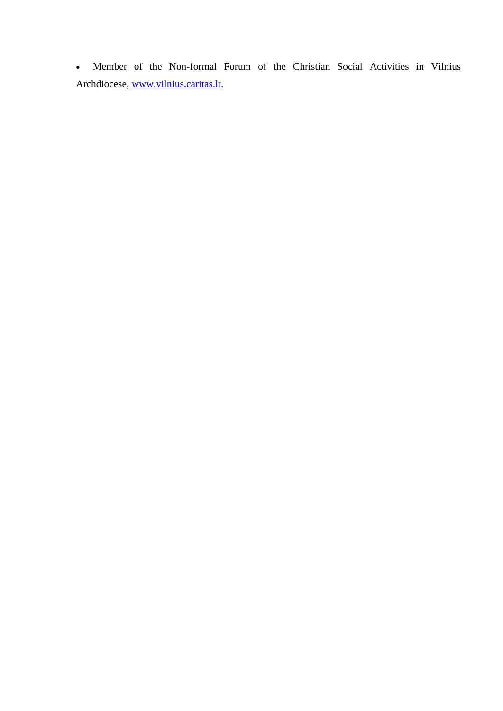Member of the Non-formal Forum of the Christian Social Activities in Vilnius Archdiocese, [www.vilnius.caritas.lt.](http://www.vilnius.caritas.lt/)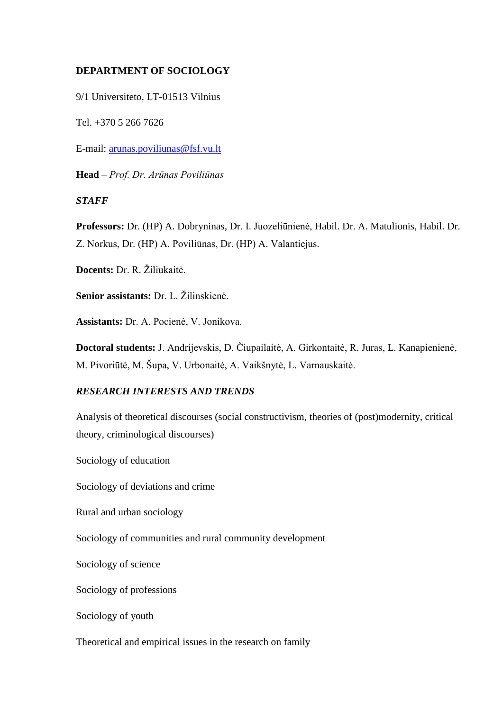### **DEPARTMENT OF SOCIOLOGY**

9/1 Universiteto, LT-01513 Vilnius

Tel. +370 5 266 7626

E-mail: [arunas.poviliunas@fsf.vu.lt](mailto:arunas.poviliunas@fsf.vu.lt)

**Head** – *Prof. Dr. Arūnas Poviliūnas*

### *STAFF*

**Professors:** Dr. (HP) A. Dobryninas, Dr. I. Juozeliūnienė, Habil. Dr. A. Matulionis, Habil. Dr. Z. Norkus, Dr. (HP) A. Poviliūnas, Dr. (HP) A. Valantiejus.

**Docents:** Dr. R. Žiliukaitė.

**Senior assistants:** Dr. L. Žilinskienė.

**Assistants:** Dr. A. Pocienė, V. Jonikova.

**Doctoral students:** J. Andrijevskis, D. Čiupailaitė, A. Girkontaitė, R. Juras, L. Kanapienienė, M. Pivoriūtė, M. Šupa, V. Urbonaitė, A. Vaikšnytė, L. Varnauskaitė.

#### *RESEARCH INTERESTS AND TRENDS*

Analysis of theoretical discourses (social constructivism, theories of (post)modernity, critical theory, criminological discourses)

Sociology of education

Sociology of deviations and crime

Rural and urban sociology

Sociology of communities and rural community development

Sociology of science

Sociology of professions

Sociology of youth

Theoretical and empirical issues in the research on family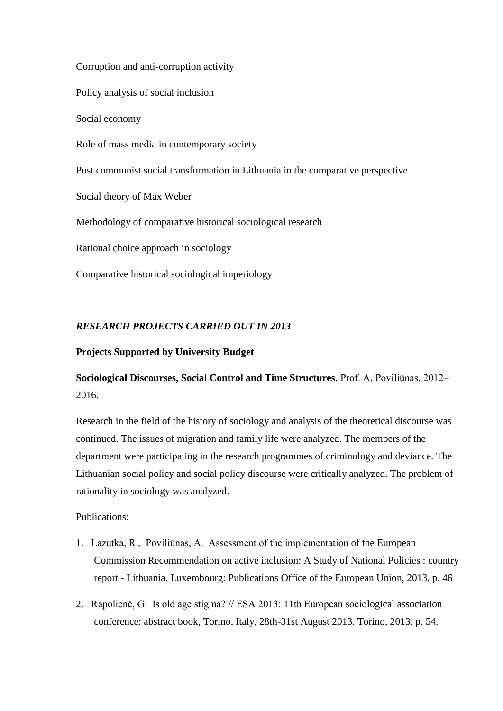Corruption and anti-corruption activity

Policy analysis of social inclusion

Social economy

Role of mass media in contemporary society

Post communist social transformation in Lithuania in the comparative perspective

Social theory of Max Weber

Methodology of comparative historical sociological research

Rational choice approach in sociology

Comparative historical sociological imperiology

# *RESEARCH PROJECTS CARRIED OUT IN 2013*

### **Projects Supported by University Budget**

# **Sociological Discourses, Social Control and Time Structures.** Prof. A. Poviliūnas. 2012– 2016.

Research in the field of the history of sociology and analysis of the theoretical discourse was continued. The issues of migration and family life were analyzed. The members of the department were participating in the research programmes of criminology and deviance. The Lithuanian social policy and social policy discourse were critically analyzed. The problem of rationality in sociology was analyzed.

## Publications:

- 1. Lazutka, R., Poviliūnas, A. Assessment of the implementation of the European Commission Recommendation on active inclusion: A Study of National Policies : country report - Lithuania. Luxembourg: Publications Office of the European Union, 2013. p. 46
- 2. Rapolienė, G. Is old age stigma? // ESA 2013: 11th European sociological association conference: abstract book, Torino, Italy, 28th-31st August 2013. Torino, 2013. p. 54.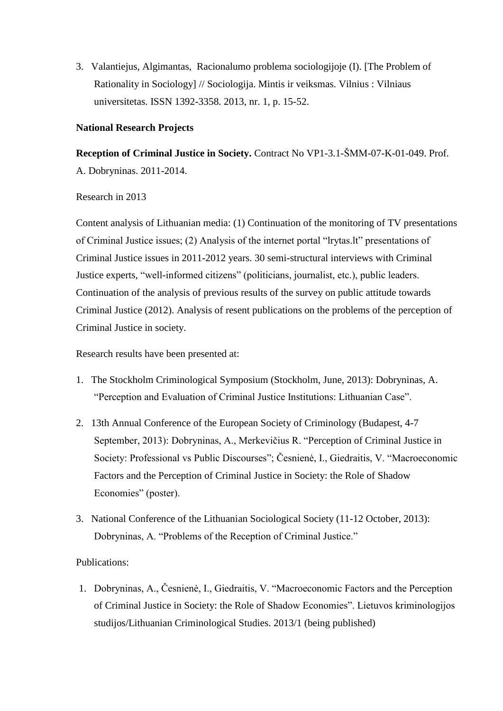3. Valantiejus, Algimantas, Racionalumo problema sociologijoje (I). [The Problem of Rationality in Sociology] // Sociologija. Mintis ir veiksmas. Vilnius : Vilniaus universitetas. ISSN 1392-3358. 2013, nr. 1, p. 15-52.

### **National Research Projects**

**Reception of Criminal Justice in Society.** Contract No VP1-3.1-ŠMM-07-K-01-049. Prof. A. Dobryninas. 2011-2014.

### Research in 2013

Content analysis of Lithuanian media: (1) Continuation of the monitoring of TV presentations of Criminal Justice issues; (2) Analysis of the internet portal "lrytas.lt" presentations of Criminal Justice issues in 2011-2012 years. 30 semi-structural interviews with Criminal Justice experts, "well-informed citizens" (politicians, journalist, etc.), public leaders. Continuation of the analysis of previous results of the survey on public attitude towards Criminal Justice (2012). Analysis of resent publications on the problems of the perception of Criminal Justice in society.

Research results have been presented at:

- 1. The Stockholm Criminological Symposium (Stockholm, June, 2013): Dobryninas, A. "Perception and Evaluation of Criminal Justice Institutions: Lithuanian Case".
- 2. 13th Annual Conference of the European Society of Criminology (Budapest, 4-7 September, 2013): Dobryninas, A., Merkevičius R. "Perception of Criminal Justice in Society: Professional vs Public Discourses"; Česnienė, I., Giedraitis, V. "Macroeconomic Factors and the Perception of Criminal Justice in Society: the Role of Shadow Economies" (poster).
- 3. National Conference of the Lithuanian Sociological Society (11-12 October, 2013): Dobryninas, A. "Problems of the Reception of Criminal Justice."

## Publications:

1. Dobryninas, A., Česnienė, I., Giedraitis, V. "Macroeconomic Factors and the Perception of Criminal Justice in Society: the Role of Shadow Economies". Lietuvos kriminologijos studijos/Lithuanian Criminological Studies. 2013/1 (being published)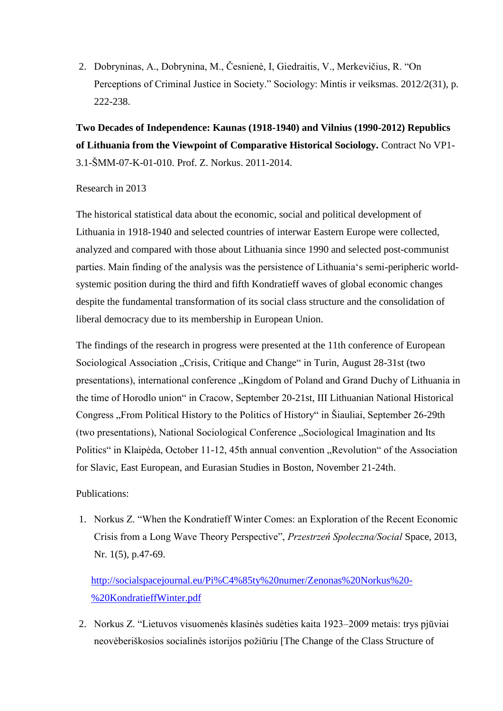2. Dobryninas, A., Dobrynina, M., Česnienė, I, Giedraitis, V., Merkevičius, R. "On Perceptions of Criminal Justice in Society." Sociology: Mintis ir veiksmas. 2012/2(31), p. 222-238.

**Two Decades of Independence: Kaunas (1918-1940) and Vilnius (1990-2012) Republics of Lithuania from the Viewpoint of Comparative Historical Sociology.** Contract No VP1- 3.1-ŠMM-07-K-01-010. Prof. Z. Norkus. 2011-2014.

#### Research in 2013

The historical statistical data about the economic, social and political development of Lithuania in 1918-1940 and selected countries of interwar Eastern Europe were collected, analyzed and compared with those about Lithuania since 1990 and selected post-communist parties. Main finding of the analysis was the persistence of Lithuania's semi-peripheric worldsystemic position during the third and fifth Kondratieff waves of global economic changes despite the fundamental transformation of its social class structure and the consolidation of liberal democracy due to its membership in European Union.

The findings of the research in progress were presented at the 11th conference of European Sociological Association "Crisis, Critique and Change" in Turin, August 28-31st (two presentations), international conference "Kingdom of Poland and Grand Duchy of Lithuania in the time of Horodlo union" in Cracow, September 20-21st, III Lithuanian National Historical Congress "From Political History to the Politics of History" in Šiauliai, September 26-29th (two presentations), National Sociological Conference "Sociological Imagination and Its Politics" in Klaipėda, October 11-12, 45th annual convention "Revolution" of the Association for Slavic, East European, and Eurasian Studies in Boston, November 21-24th.

### Publications:

1. Norkus Z. "When the Kondratieff Winter Comes: an Exploration of the Recent Economic Crisis from a Long Wave Theory Perspective", *Przestrzeń Społeczna/Social* Space, 2013, Nr. 1(5), p.47-69.

[http://socialspacejournal.eu/Pi%C4%85ty%20numer/Zenonas%20Norkus%20-](http://socialspacejournal.eu/Pi%C4%85ty%20numer/Zenonas%20Norkus%20-%20KondratieffWinter.pdf) [%20KondratieffWinter.pdf](http://socialspacejournal.eu/Pi%C4%85ty%20numer/Zenonas%20Norkus%20-%20KondratieffWinter.pdf)

2. Norkus Z. "Lietuvos visuomenės klasinės sudėties kaita 1923–2009 metais: trys pjūviai neovėberiškosios socialinės istorijos požiūriu [The Change of the Class Structure of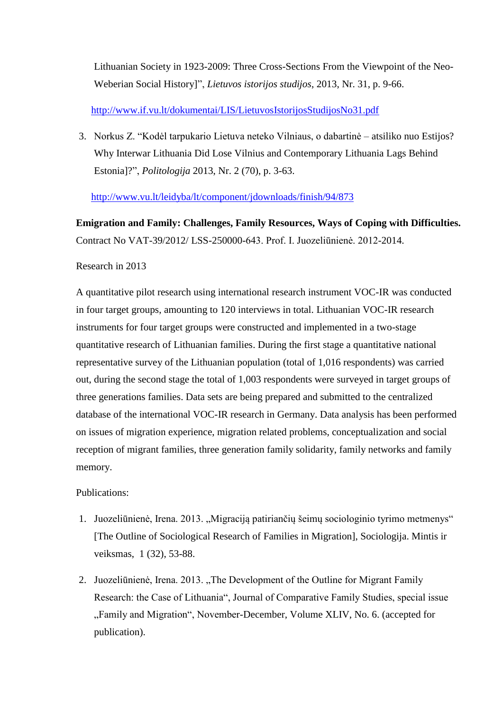Lithuanian Society in 1923-2009: Three Cross-Sections From the Viewpoint of the Neo-Weberian Social History]", *Lietuvos istorijos studijos*, 2013, Nr. 31, p. 9-66.

<http://www.if.vu.lt/dokumentai/LIS/LietuvosIstorijosStudijosNo31.pdf>

3. Norkus Z. "Kodėl tarpukario Lietuva neteko Vilniaus, o dabartinė – atsiliko nuo Estijos? Why Interwar Lithuania Did Lose Vilnius and Contemporary Lithuania Lags Behind Estonia]?", *Politologija* 2013, Nr. 2 (70), p. 3-63.

<http://www.vu.lt/leidyba/lt/component/jdownloads/finish/94/873>

**Emigration and Family: Challenges, Family Resources, Ways of Coping with Difficulties.**  Contract No VAT-39/2012/ LSS-250000-643. Prof. I. Juozeliūnienė. 2012-2014.

### Research in 2013

A quantitative pilot research using international research instrument VOC-IR was conducted in four target groups, amounting to 120 interviews in total. Lithuanian VOC-IR research instruments for four target groups were constructed and implemented in a two-stage quantitative research of Lithuanian families. During the first stage a quantitative national representative survey of the Lithuanian population (total of 1,016 respondents) was carried out, during the second stage the total of 1,003 respondents were surveyed in target groups of three generations families. Data sets are being prepared and submitted to the centralized database of the international VOC-IR research in Germany. Data analysis has been performed on issues of migration experience, migration related problems, conceptualization and social reception of migrant families, three generation family solidarity, family networks and family memory.

Publications:

- 1. Juozeliūnienė, Irena. 2013. "Migraciją patiriančių šeimų sociologinio tyrimo metmenys" [The Outline of Sociological Research of Families in Migration], Sociologija. Mintis ir veiksmas, 1 (32), 53-88.
- 2. Juozeliūnienė, Irena. 2013. "The Development of the Outline for Migrant Family Research: the Case of Lithuania", Journal of Comparative Family Studies, special issue "Family and Migration", November-December, Volume XLIV, No. 6. (accepted for publication).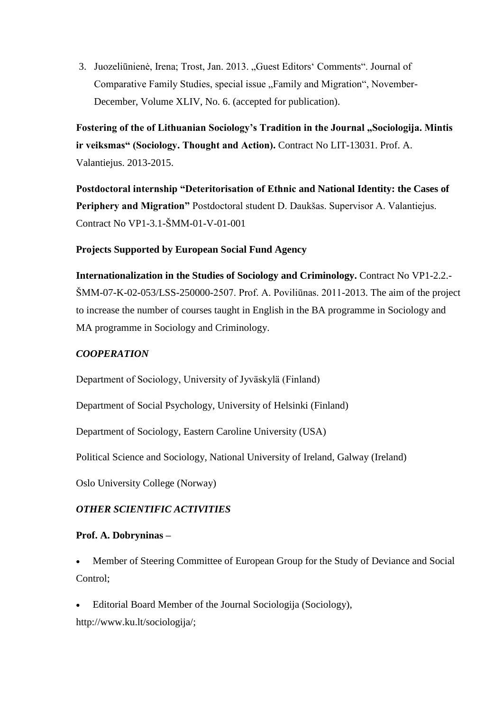3. Juozeliūnienė, Irena; Trost, Jan. 2013. "Guest Editors' Comments". Journal of Comparative Family Studies, special issue "Family and Migration", November-December, Volume XLIV, No. 6. (accepted for publication).

**Fostering of the of Lithuanian Sociology's Tradition in the Journal "Sociologija. Mintis ir veiksmas" (Sociology. Thought and Action).** Contract No LIT-13031. Prof. A. Valantiejus. 2013-2015.

**Postdoctoral internship "Deteritorisation of Ethnic and National Identity: the Cases of Periphery and Migration"** Postdoctoral student D. Daukšas. Supervisor A. Valantiejus. Contract No VP1-3.1-ŠMM-01-V-01-001

# **Projects Supported by European Social Fund Agency**

**Internationalization in the Studies of Sociology and Criminology.** Contract No VP1-2.2.- ŠMM-07-K-02-053/LSS-250000-2507. Prof. A. Poviliūnas. 2011-2013. The aim of the project to increase the number of courses taught in English in the BA programme in Sociology and MA programme in Sociology and Criminology.

### *COOPERATION*

Department of Sociology, University of Jyväskylä (Finland)

Department of Social Psychology, University of Helsinki (Finland)

Department of Sociology, Eastern Caroline University (USA)

Political Science and Sociology, National University of Ireland, Galway (Ireland)

Oslo University College (Norway)

## *OTHER SCIENTIFIC ACTIVITIES*

### **Prof. A. Dobryninas –**

 Member of Steering Committee of European Group for the Study of Deviance and Social Control;

 Editorial Board Member of the Journal Sociologija (Sociology), [http://www.ku.lt/sociologija/;](http://www.ku.lt/sociologija/)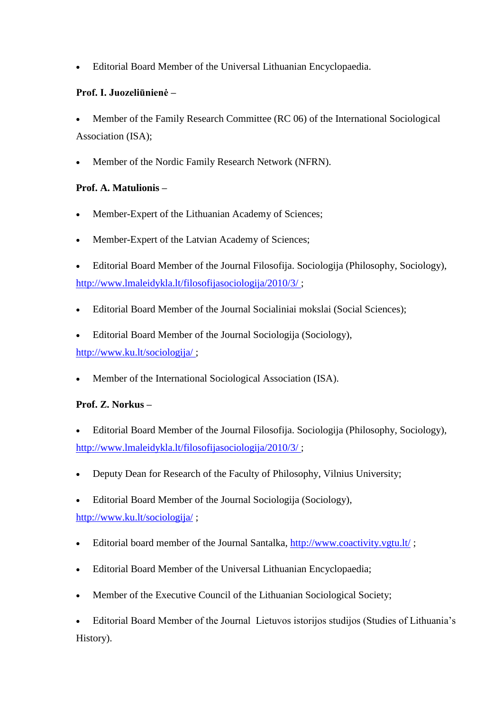Editorial Board Member of the Universal Lithuanian Encyclopaedia.

# **Prof. I. Juozeliūnienė –**

- Member of the Family Research Committee (RC 06) of the International Sociological Association (ISA);
- Member of the Nordic Family Research Network (NFRN).

# **Prof. A. Matulionis –**

- Member-Expert of the Lithuanian Academy of Sciences;
- Member-Expert of the Latvian Academy of Sciences;
- Editorial Board Member of the Journal Filosofija. Sociologija (Philosophy, Sociology), <http://www.lmaleidykla.lt/filosofijasociologija/2010/3/> ;
- Editorial Board Member of the Journal Socialiniai mokslai (Social Sciences);
- Editorial Board Member of the Journal Sociologija (Sociology),

<http://www.ku.lt/sociologija/> ;

Member of the International Sociological Association (ISA).

# **Prof. Z. Norkus –**

- Editorial Board Member of the Journal Filosofija. Sociologija (Philosophy, Sociology), <http://www.lmaleidykla.lt/filosofijasociologija/2010/3/> ;
- Deputy Dean for Research of the Faculty of Philosophy, Vilnius University;
- Editorial Board Member of the Journal Sociologija (Sociology),

<http://www.ku.lt/sociologija/> ;

- Editorial board member of the Journal Santalka,<http://www.coactivity.vgtu.lt/> ;
- Editorial Board Member of the Universal Lithuanian Encyclopaedia;
- Member of the Executive Council of the Lithuanian Sociological Society;

 Editorial Board Member of the Journal Lietuvos istorijos studijos (Studies of Lithuania's History).